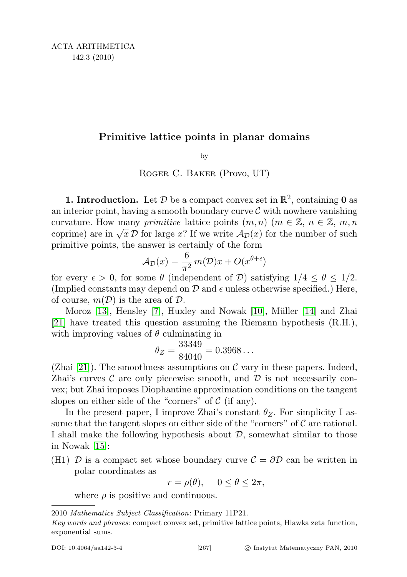## Primitive lattice points in planar domains

by

Roger C. Baker (Provo, UT)

**1. Introduction.** Let  $D$  be a compact convex set in  $\mathbb{R}^2$ , containing **0** as an interior point, having a smooth boundary curve  $\mathcal C$  with nowhere vanishing curvature. How many *primitive* lattice points  $(m, n)$   $(m \in \mathbb{Z}, n \in \mathbb{Z}, m, n)$ curvature. How many *primative* tattice points  $(m, n)$  ( $m \in \mathbb{Z}$ ,  $n \in \mathbb{Z}$ ,  $m, n$ )<br>coprime) are in  $\sqrt{x} \mathcal{D}$  for large x? If we write  $\mathcal{A}_{\mathcal{D}}(x)$  for the number of such primitive points, the answer is certainly of the form

$$
\mathcal{A}_{\mathcal{D}}(x) = \frac{6}{\pi^2} m(\mathcal{D})x + O(x^{\theta + \epsilon})
$$

for every  $\epsilon > 0$ , for some  $\theta$  (independent of D) satisfying  $1/4 \leq \theta \leq 1/2$ . (Implied constants may depend on  $\mathcal D$  and  $\epsilon$  unless otherwise specified.) Here, of course,  $m(\mathcal{D})$  is the area of  $\mathcal{D}$ .

Moroz [\[13\]](#page-34-0), Hensley [\[7\]](#page-34-1), Huxley and Nowak [\[10\]](#page-34-2), Müller [\[14\]](#page-34-3) and Zhai [\[21\]](#page-35-0) have treated this question assuming the Riemann hypothesis (R.H.), with improving values of  $\theta$  culminating in

$$
\theta_Z = \frac{33349}{84040} = 0.3968\dots
$$

(Zhai [\[21\]](#page-35-0)). The smoothness assumptions on  $\mathcal C$  vary in these papers. Indeed, Zhai's curves  $\mathcal C$  are only piecewise smooth, and  $\mathcal D$  is not necessarily convex; but Zhai imposes Diophantine approximation conditions on the tangent slopes on either side of the "corners" of  $\mathcal C$  (if any).

In the present paper, I improve Zhai's constant  $\theta_Z$ . For simplicity I assume that the tangent slopes on either side of the "corners" of  $\mathcal C$  are rational. I shall make the following hypothesis about  $\mathcal{D}$ , somewhat similar to those in Nowak [\[15\]](#page-35-1):

(H1)  $\mathcal{D}$  is a compact set whose boundary curve  $\mathcal{C} = \partial \mathcal{D}$  can be written in polar coordinates as

$$
r = \rho(\theta), \quad 0 \le \theta \le 2\pi,
$$

where  $\rho$  is positive and continuous.

<sup>2010</sup> Mathematics Subject Classification: Primary 11P21.

Key words and phrases: compact convex set, primitive lattice points, Hlawka zeta function, exponential sums.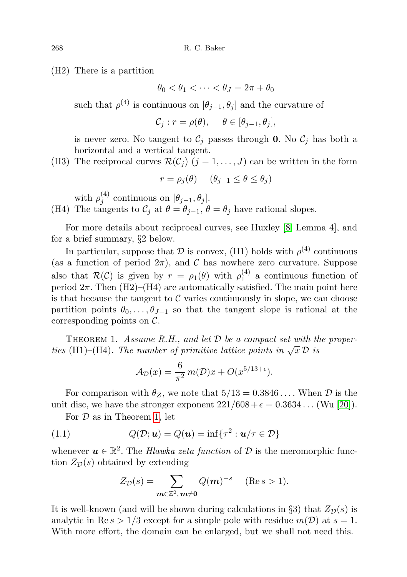(H2) There is a partition

 $\theta_0 < \theta_1 < \cdots < \theta_J = 2\pi + \theta_0$ 

such that  $\rho^{(4)}$  is continuous on  $[\theta_{j-1}, \theta_j]$  and the curvature of

$$
\mathcal{C}_j : r = \rho(\theta), \quad \theta \in [\theta_{j-1}, \theta_j],
$$

is never zero. No tangent to  $\mathcal{C}_j$  passes through 0. No  $\mathcal{C}_j$  has both a horizontal and a vertical tangent.

(H3) The reciprocal curves  $\mathcal{R}(\mathcal{C}_i)$   $(j = 1, \ldots, J)$  can be written in the form

$$
r = \rho_j(\theta) \quad (\theta_{j-1} \le \theta \le \theta_j)
$$

with  $\rho_i^{(4)}$  $j^{(4)}$  continuous on  $[\theta_{j-1}, \theta_j]$ . (H4) The tangents to  $\mathcal{C}_j$  at  $\theta = \theta_{j-1}, \theta = \theta_j$  have rational slopes.

For more details about reciprocal curves, see Huxley [\[8,](#page-34-4) Lemma 4], and for a brief summary, §2 below.

In particular, suppose that  $D$  is convex, (H1) holds with  $\rho^{(4)}$  continuous (as a function of period  $2\pi$ ), and C has nowhere zero curvature. Suppose also that  $\mathcal{R}(\mathcal{C})$  is given by  $r = \rho_1(\theta)$  with  $\rho_1^{(4)}$  $i_1^{(4)}$  a continuous function of period  $2\pi$ . Then  $(H2)$ – $(H4)$  are automatically satisfied. The main point here is that because the tangent to  $\mathcal C$  varies continuously in slope, we can choose partition points  $\theta_0, \ldots, \theta_{J-1}$  so that the tangent slope is rational at the corresponding points on  $\mathcal{C}$ .

<span id="page-1-0"></span>THEOREM 1. Assume R.H., and let  $D$  be a compact set with the propertheorem 1. Assume  $n.n.$ , and let  $D$  be a compact set with a<br>ties (H1)–(H4). The number of primitive lattice points in  $\sqrt{x} D$  is

$$
\mathcal{A}_{\mathcal{D}}(x) = \frac{6}{\pi^2} m(\mathcal{D})x + O(x^{5/13 + \epsilon}).
$$

For comparison with  $\theta_Z$ , we note that  $5/13 = 0.3846...$  When  $\mathcal D$  is the unit disc, we have the stronger exponent  $221/608 + \epsilon = 0.3634...$  (Wu [\[20\]](#page-35-2)).

For  $D$  as in Theorem [1,](#page-1-0) let

(1.1) 
$$
Q(\mathcal{D}; \boldsymbol{u}) = Q(\boldsymbol{u}) = \inf \{ \tau^2 : \boldsymbol{u}/\tau \in \mathcal{D} \}
$$

whenever  $u \in \mathbb{R}^2$ . The *Hlawka zeta function* of  $D$  is the meromorphic function  $Z_{\mathcal{D}}(s)$  obtained by extending

$$
Z_{\mathcal{D}}(s) = \sum_{\mathbf{m}\in\mathbb{Z}^2,\,\mathbf{m}\neq\mathbf{0}} Q(\mathbf{m})^{-s} \quad (\text{Re}\,s>1).
$$

It is well-known (and will be shown during calculations in §3) that  $Z_{\mathcal{D}}(s)$  is analytic in  $\text{Re } s > 1/3$  except for a simple pole with residue  $m(\mathcal{D})$  at  $s = 1$ . With more effort, the domain can be enlarged, but we shall not need this.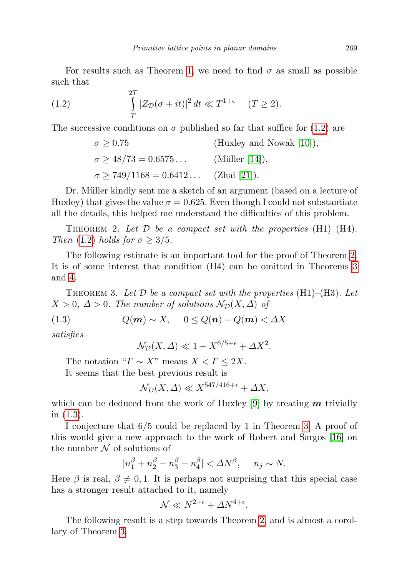For results such as Theorem [1,](#page-1-0) we need to find  $\sigma$  as small as possible such that

(1.2) 
$$
\int_{T}^{2T} |Z_{\mathcal{D}}(\sigma + it)|^2 dt \ll T^{1+\epsilon} \quad (T \ge 2).
$$

The successive conditions on  $\sigma$  published so far that suffice for [\(1.2\)](#page-2-0) are

<span id="page-2-0"></span>
$$
\sigma \ge 0.75
$$
 (Huxley and Nowak [10]),  
\n $\sigma \ge 48/73 = 0.6575...$  (Müller [14]),  
\n $\sigma \ge 749/1168 = 0.6412...$  (Zhai [21]).

Dr. Müller kindly sent me a sketch of an argument (based on a lecture of Huxley) that gives the value  $\sigma = 0.625$ . Even though I could not substantiate all the details, this helped me understand the difficulties of this problem.

<span id="page-2-1"></span>THEOREM 2. Let  $\mathcal D$  be a compact set with the properties  $(H1)–(H4)$ . Then [\(1.2\)](#page-2-0) holds for  $\sigma \geq 3/5$ .

The following estimate is an important tool for the proof of Theorem [2.](#page-2-1) It is of some interest that condition (H4) can be omitted in Theorems [3](#page-2-2) and [4.](#page-2-3)

<span id="page-2-2"></span>THEOREM 3. Let  $D$  be a compact set with the properties (H1)–(H3). Let  $X > 0$ ,  $\Delta > 0$ . The number of solutions  $\mathcal{N}_{\mathcal{D}}(X, \Delta)$  of

$$
(1.3) \tQ(m) \sim X, \t0 \le Q(n) - Q(m) < \Delta X
$$

satisfies

<span id="page-2-4"></span>
$$
\mathcal{N}_{\mathcal{D}}(X,\Delta) \ll 1 + X^{6/5 + \epsilon} + \Delta X^2.
$$

The notation " $\Gamma \sim X$ " means  $X < \Gamma \leq 2X$ . It seems that the best previous result is

$$
\mathcal{N}_D(X,\Delta) \ll X^{547/416+\epsilon} + \Delta X,
$$

which can be deduced from the work of Huxley  $[9]$  by treating m trivially in [\(1.3\)](#page-2-4).

I conjecture that 6/5 could be replaced by 1 in Theorem [3.](#page-2-2) A proof of this would give a new approach to the work of Robert and Sargos [\[16\]](#page-35-3) on the number  $\mathcal N$  of solutions of

$$
|n_1^\beta+n_2^\beta-n_3^\beta-n_4^\beta|<\varDelta N^\beta,\hspace{0.5cm} n_j\sim N.
$$

Here  $\beta$  is real,  $\beta \neq 0, 1$ . It is perhaps not surprising that this special case has a stronger result attached to it, namely

$$
\mathcal{N} \ll N^{2+\epsilon} + \Delta N^{4+\epsilon}.
$$

<span id="page-2-3"></span>The following result is a step towards Theorem [2,](#page-2-1) and is almost a corollary of Theorem [3.](#page-2-2)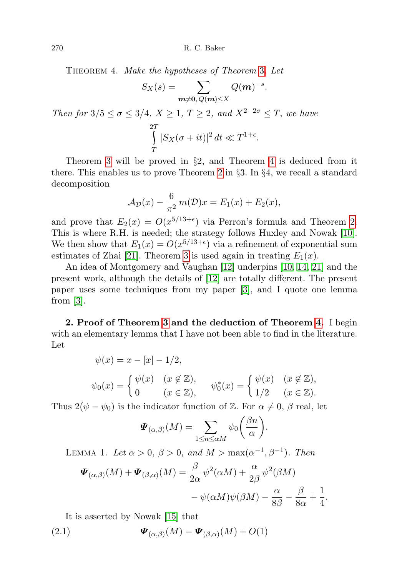270 R. C. Baker

Theorem 4. Make the hypotheses of Theorem [3](#page-2-2). Let

$$
S_X(s) = \sum_{\substack{\boldsymbol{m} \neq \boldsymbol{0}, \, Q(\boldsymbol{m}) \leq X}} Q(\boldsymbol{m})^{-s}.
$$

Then for  $3/5 \le \sigma \le 3/4$ ,  $X \ge 1$ ,  $T \ge 2$ , and  $X^{2-2\sigma} \le T$ , we have 2 T T  $|S_X(\sigma+it)|^2 dt \ll T^{1+\epsilon}.$ 

Theorem [3](#page-2-2) will be proved in §2, and Theorem [4](#page-2-3) is deduced from it there. This enables us to prove Theorem [2](#page-2-1) in §3. In §4, we recall a standard decomposition

$$
\mathcal{A}_{\mathcal{D}}(x) - \frac{6}{\pi^2} m(\mathcal{D})x = E_1(x) + E_2(x),
$$

and prove that  $E_2(x) = O(x^{5/13+\epsilon})$  via Perron's formula and Theorem [2.](#page-2-1) This is where R.H. is needed; the strategy follows Huxley and Nowak [\[10\]](#page-34-2). We then show that  $E_1(x) = O(x^{5/13+\epsilon})$  via a refinement of exponential sum estimates of Zhai [\[21\]](#page-35-0). Theorem [3](#page-2-2) is used again in treating  $E_1(x)$ .

An idea of Montgomery and Vaughan [\[12\]](#page-34-6) underpins [\[10,](#page-34-2) [14,](#page-34-3) [21\]](#page-35-0) and the present work, although the details of [\[12\]](#page-34-6) are totally different. The present paper uses some techniques from my paper [\[3\]](#page-34-7), and I quote one lemma from  $|3|$ .

2. Proof of Theorem [3](#page-2-2) and the deduction of Theorem [4.](#page-2-3) I begin with an elementary lemma that I have not been able to find in the literature. Let

$$
\psi(x) = x - [x] - 1/2,
$$
  
\n
$$
\psi_0(x) = \begin{cases} \psi(x) & (x \notin \mathbb{Z}), \\ 0 & (x \in \mathbb{Z}), \end{cases} \quad \psi_0^*(x) = \begin{cases} \psi(x) & (x \notin \mathbb{Z}), \\ 1/2 & (x \in \mathbb{Z}). \end{cases}
$$

Thus  $2(\psi - \psi_0)$  is the indicator function of Z. For  $\alpha \neq 0$ ,  $\beta$  real, let

$$
\boldsymbol{\varPsi}_{(\alpha,\beta)}(M) = \sum_{1 \leq n \leq \alpha M} \psi_0\bigg(\frac{\beta n}{\alpha}\bigg).
$$

<span id="page-3-0"></span>LEMMA 1. Let  $\alpha > 0$ ,  $\beta > 0$ , and  $M > \max(\alpha^{-1}, \beta^{-1})$ . Then

$$
\Psi_{(\alpha,\beta)}(M) + \Psi_{(\beta,\alpha)}(M) = \frac{\beta}{2\alpha} \psi^2(\alpha M) + \frac{\alpha}{2\beta} \psi^2(\beta M) \n- \psi(\alpha M)\psi(\beta M) - \frac{\alpha}{8\beta} - \frac{\beta}{8\alpha} + \frac{1}{4}.
$$

<span id="page-3-1"></span>It is asserted by Nowak [\[15\]](#page-35-1) that

(2.1) 
$$
\mathbf{\Psi}_{(\alpha,\beta)}(M) = \mathbf{\Psi}_{(\beta,\alpha)}(M) + O(1)
$$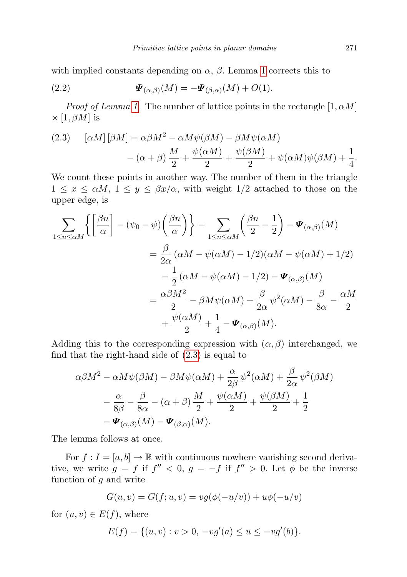with implied constants depending on  $\alpha$ ,  $\beta$ . Lemma [1](#page-3-0) corrects this to

<span id="page-4-1"></span>(2.2) 
$$
\mathbf{\Psi}_{(\alpha,\beta)}(M) = -\mathbf{\Psi}_{(\beta,\alpha)}(M) + O(1).
$$

*Proof of Lemma [1](#page-3-0).* The number of lattice points in the rectangle  $[1, \alpha M]$  $\times$  [1,  $\beta M$ ] is

<span id="page-4-0"></span>(2.3) 
$$
[\alpha M] [\beta M] = \alpha \beta M^2 - \alpha M \psi(\beta M) - \beta M \psi(\alpha M) - (\alpha + \beta) \frac{M}{2} + \frac{\psi(\alpha M)}{2} + \frac{\psi(\beta M)}{2} + \psi(\alpha M) \psi(\beta M) + \frac{1}{4}.
$$

We count these points in another way. The number of them in the triangle  $1 \leq x \leq \alpha M$ ,  $1 \leq y \leq \beta x/\alpha$ , with weight  $1/2$  attached to those on the upper edge, is

$$
\sum_{1 \le n \le \alpha M} \left\{ \left[ \frac{\beta n}{\alpha} \right] - (\psi_0 - \psi) \left( \frac{\beta n}{\alpha} \right) \right\} = \sum_{1 \le n \le \alpha M} \left( \frac{\beta n}{2} - \frac{1}{2} \right) - \Psi_{(\alpha, \beta)}(M)
$$
  

$$
= \frac{\beta}{2\alpha} (\alpha M - \psi(\alpha M) - 1/2)(\alpha M - \psi(\alpha M) + 1/2)
$$
  

$$
- \frac{1}{2} (\alpha M - \psi(\alpha M) - 1/2) - \Psi_{(\alpha, \beta)}(M)
$$
  

$$
= \frac{\alpha \beta M^2}{2} - \beta M \psi(\alpha M) + \frac{\beta}{2\alpha} \psi^2(\alpha M) - \frac{\beta}{8\alpha} - \frac{\alpha M}{2}
$$
  

$$
+ \frac{\psi(\alpha M)}{2} + \frac{1}{4} - \Psi_{(\alpha, \beta)}(M).
$$

Adding this to the corresponding expression with  $(\alpha, \beta)$  interchanged, we find that the right-hand side of  $(2.3)$  is equal to

$$
\alpha\beta M^2 - \alpha M\psi(\beta M) - \beta M\psi(\alpha M) + \frac{\alpha}{2\beta}\psi^2(\alpha M) + \frac{\beta}{2\alpha}\psi^2(\beta M)
$$
  

$$
- \frac{\alpha}{8\beta} - \frac{\beta}{8\alpha} - (\alpha + \beta)\frac{M}{2} + \frac{\psi(\alpha M)}{2} + \frac{\psi(\beta M)}{2} + \frac{1}{2}
$$
  

$$
- \Psi_{(\alpha,\beta)}(M) - \Psi_{(\beta,\alpha)}(M).
$$

The lemma follows at once.

For  $f: I = [a, b] \to \mathbb{R}$  with continuous nowhere vanishing second derivative, we write  $g = f$  if  $f'' < 0$ ,  $g = -f$  if  $f'' > 0$ . Let  $\phi$  be the inverse function of  $g$  and write

$$
G(u, v) = G(f; u, v) = v g(\phi(-u/v)) + u \phi(-u/v)
$$

for  $(u, v) \in E(f)$ , where

$$
E(f) = \{(u, v) : v > 0, -vg'(a) \le u \le -vg'(b)\}.
$$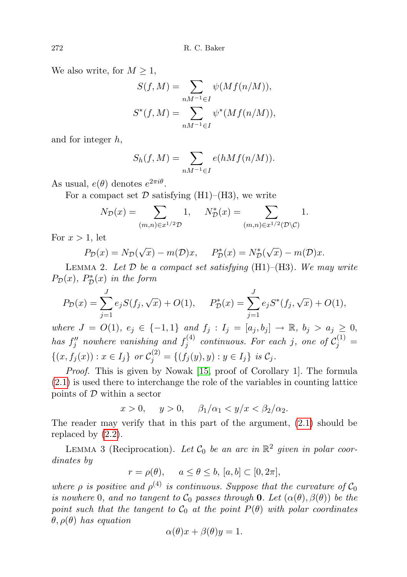We also write, for  $M \geq 1$ ,

$$
S(f, M) = \sum_{nM^{-1} \in I} \psi(Mf(n/M)),
$$
  

$$
S^*(f, M) = \sum_{nM^{-1} \in I} \psi^*(Mf(n/M)),
$$

and for integer h,

$$
S_h(f, M) = \sum_{nM^{-1} \in I} e(hMf(n/M)).
$$

As usual,  $e(\theta)$  denotes  $e^{2\pi i\theta}$ .

For a compact set  $\mathcal D$  satisfying (H1)–(H3), we write

$$
N_{\mathcal{D}}(x) = \sum_{(m,n)\in x^{1/2}\mathcal{D}} 1, \quad N_{\mathcal{D}}^{*}(x) = \sum_{(m,n)\in x^{1/2}(\mathcal{D}\backslash\mathcal{C})} 1.
$$

For  $x > 1$ , let

$$
P_{\mathcal{D}}(x) = N_{\mathcal{D}}(\sqrt{x}) - m(\mathcal{D})x, \quad P_{\mathcal{D}}^*(x) = N_{\mathcal{D}}^*(\sqrt{x}) - m(\mathcal{D})x.
$$

<span id="page-5-1"></span>LEMMA 2. Let  $\mathcal D$  be a compact set satisfying (H1)–(H3). We may write  $P_{\mathcal{D}}(x)$ ,  $P_{\mathcal{D}}^{*}(x)$  in the form

$$
P_{\mathcal{D}}(x) = \sum_{j=1}^{J} e_j S(f_j, \sqrt{x}) + O(1), \qquad P_{\mathcal{D}}^*(x) = \sum_{j=1}^{J} e_j S^*(f_j, \sqrt{x}) + O(1),
$$

where  $J = O(1)$ ,  $e_j \in \{-1,1\}$  and  $f_j : I_j = [a_j, b_j] \to \mathbb{R}$ ,  $b_j > a_j \geq 0$ , has  $f''_j$  nowhere vanishing and  $f_j^{(4)}$  $\mathcal{C}_j^{(4)}$  continuous. For each j, one of  $\mathcal{C}_j^{(1)} =$  $\{(x, f_j(x)) : x \in I_j\}$  or  $C_j^{(2)} = \{(f_j(y), y) : y \in I_j\}$  is  $C_j$ .

Proof. This is given by Nowak [\[15,](#page-35-1) proof of Corollary 1]. The formula [\(2.1\)](#page-3-1) is used there to interchange the role of the variables in counting lattice points of  $D$  within a sector

$$
x > 0
$$
,  $y > 0$ ,  $\beta_1/\alpha_1 < y/x < \beta_2/\alpha_2$ .

The reader may verify that in this part of the argument, [\(2.1\)](#page-3-1) should be replaced by [\(2.2\)](#page-4-1).

<span id="page-5-0"></span>LEMMA 3 (Reciprocation). Let  $C_0$  be an arc in  $\mathbb{R}^2$  given in polar coordinates by

$$
r = \rho(\theta), \quad a \le \theta \le b, [a, b] \subset [0, 2\pi],
$$

where  $\rho$  is positive and  $\rho^{(4)}$  is continuous. Suppose that the curvature of  $C_0$ is nowhere 0, and no tangent to  $C_0$  passes through 0. Let  $(\alpha(\theta), \beta(\theta))$  be the point such that the tangent to  $C_0$  at the point  $P(\theta)$  with polar coordinates  $\theta$ ,  $\rho(\theta)$  has equation

$$
\alpha(\theta)x + \beta(\theta)y = 1.
$$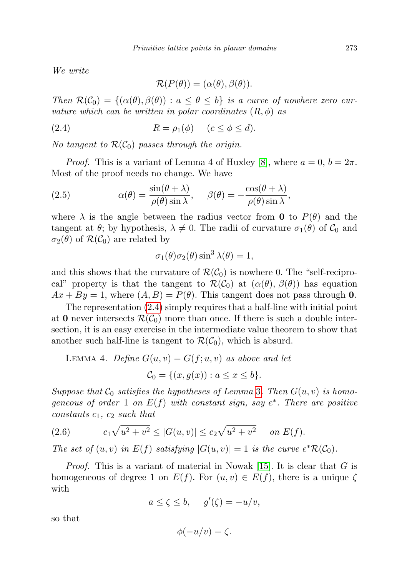We write

<span id="page-6-0"></span>
$$
\mathcal{R}(P(\theta)) = (\alpha(\theta), \beta(\theta)).
$$

Then  $\mathcal{R}(\mathcal{C}_0) = \{(\alpha(\theta), \beta(\theta)) : a \leq \theta \leq b\}$  is a curve of nowhere zero curvature which can be written in polar coordinates  $(R, \phi)$  as

(2.4) 
$$
R = \rho_1(\phi) \quad (c \le \phi \le d).
$$

No tangent to  $\mathcal{R}(\mathcal{C}_0)$  passes through the origin.

*Proof.* This is a variant of Lemma 4 of Huxley [\[8\]](#page-34-4), where  $a = 0, b = 2\pi$ . Most of the proof needs no change. We have

(2.5) 
$$
\alpha(\theta) = \frac{\sin(\theta + \lambda)}{\rho(\theta)\sin\lambda}, \quad \beta(\theta) = -\frac{\cos(\theta + \lambda)}{\rho(\theta)\sin\lambda},
$$

where  $\lambda$  is the angle between the radius vector from **0** to  $P(\theta)$  and the tangent at  $\theta$ ; by hypothesis,  $\lambda \neq 0$ . The radii of curvature  $\sigma_1(\theta)$  of  $\mathcal{C}_0$  and  $\sigma_2(\theta)$  of  $\mathcal{R}(\mathcal{C}_0)$  are related by

$$
\sigma_1(\theta)\sigma_2(\theta)\sin^3\lambda(\theta) = 1,
$$

and this shows that the curvature of  $\mathcal{R}(\mathcal{C}_0)$  is nowhere 0. The "self-reciprocal" property is that the tangent to  $\mathcal{R}(\mathcal{C}_0)$  at  $(\alpha(\theta), \beta(\theta))$  has equation  $Ax + By = 1$ , where  $(A, B) = P(\theta)$ . This tangent does not pass through 0.

The representation [\(2.4\)](#page-6-0) simply requires that a half-line with initial point at 0 never intersects  $\mathcal{R}(\mathcal{C}_0)$  more than once. If there is such a double intersection, it is an easy exercise in the intermediate value theorem to show that another such half-line is tangent to  $\mathcal{R}(\mathcal{C}_0)$ , which is absurd.

<span id="page-6-2"></span>LEMMA 4. *Define* 
$$
G(u, v) = G(f; u, v)
$$
 *as above and let*  

$$
C_0 = \{(x, g(x)) : a \le x \le b\}.
$$

Suppose that  $C_0$  satisfies the hypotheses of Lemma [3](#page-5-0). Then  $G(u, v)$  is homogeneous of order 1 on  $E(f)$  with constant sign, say  $e^*$ . There are positive constants  $c_1, c_2$  such that

<span id="page-6-1"></span>(2.6) 
$$
c_1\sqrt{u^2+v^2} \le |G(u,v)| \le c_2\sqrt{u^2+v^2} \quad on \ E(f).
$$

The set of  $(u, v)$  in  $E(f)$  satisfying  $|G(u, v)| = 1$  is the curve  $e^* \mathcal{R}(\mathcal{C}_0)$ .

*Proof.* This is a variant of material in Nowak [\[15\]](#page-35-1). It is clear that  $G$  is homogeneous of degree 1 on  $E(f)$ . For  $(u, v) \in E(f)$ , there is a unique  $\zeta$ with

 $a \le \zeta \le b$ ,  $g'(\zeta) = -u/v$ ,

so that

$$
\phi(-u/v) = \zeta.
$$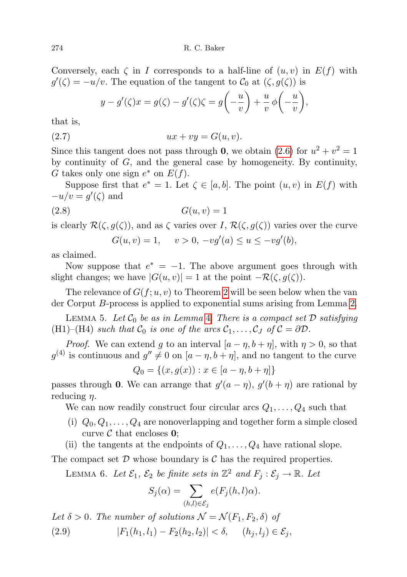274 R. C. Baker

Conversely, each  $\zeta$  in I corresponds to a half-line of  $(u, v)$  in  $E(f)$  with  $g'(\zeta) = -u/v$ . The equation of the tangent to  $\mathcal{C}_0$  at  $(\zeta, g(\zeta))$  is

$$
y - g'(\zeta)x = g(\zeta) - g'(\zeta)\zeta = g\left(-\frac{u}{v}\right) + \frac{u}{v}\phi\left(-\frac{u}{v}\right),
$$

that is,

$$
(2.7) \t\t\t ux + vy = G(u, v).
$$

Since this tangent does not pass through **0**, we obtain [\(2.6\)](#page-6-1) for  $u^2 + v^2 = 1$ by continuity of  $G$ , and the general case by homogeneity. By continuity, G takes only one sign  $e^*$  on  $E(f)$ .

Suppose first that  $e^* = 1$ . Let  $\zeta \in [a, b]$ . The point  $(u, v)$  in  $E(f)$  with  $-u/v = g'(\zeta)$  and

$$
(2.8) \tG(u, v) = 1
$$

is clearly  $\mathcal{R}(\zeta, g(\zeta))$ , and as  $\zeta$  varies over I,  $\mathcal{R}(\zeta, g(\zeta))$  varies over the curve  $'(b)$ ,

$$
G(u, v) = 1, \quad v > 0, -v g'(a) \le u \le -v g'(a)
$$

as claimed.

Now suppose that  $e^* = -1$ . The above argument goes through with slight changes; we have  $|G(u, v)| = 1$  at the point  $-\mathcal{R}(\zeta, g(\zeta))$ .

The relevance of  $G(f; u, v)$  to Theorem [2](#page-2-1) will be seen below when the van der Corput B-process is applied to exponential sums arising from Lemma [2.](#page-5-1)

<span id="page-7-1"></span>LEMMA 5. Let  $C_0$  be as in Lemma [4.](#page-6-2) There is a compact set  $D$  satisfying (H1)–(H4) such that  $C_0$  is one of the arcs  $C_1, \ldots, C_J$  of  $C = \partial \mathcal{D}$ .

*Proof.* We can extend g to an interval  $[a - \eta, b + \eta]$ , with  $\eta > 0$ , so that  $g^{(4)}$  is continuous and  $g'' \neq 0$  on  $[a - \eta, b + \eta]$ , and no tangent to the curve

$$
Q_0 = \{(x, g(x)) : x \in [a - \eta, b + \eta]\}
$$

passes through 0. We can arrange that  $g'(a - \eta)$ ,  $g'(b + \eta)$  are rational by reducing  $\eta$ .

We can now readily construct four circular arcs  $Q_1, \ldots, Q_4$  such that

- (i)  $Q_0, Q_1, \ldots, Q_4$  are nonoverlapping and together form a simple closed curve  $\mathcal C$  that encloses 0;
- (ii) the tangents at the endpoints of  $Q_1, \ldots, Q_4$  have rational slope.

<span id="page-7-0"></span>The compact set  $D$  whose boundary is  $C$  has the required properties.

LEMMA 6. Let  $\mathcal{E}_1$ ,  $\mathcal{E}_2$  be finite sets in  $\mathbb{Z}^2$  and  $F_j : \mathcal{E}_j \to \mathbb{R}$ . Let

$$
S_j(\alpha) = \sum_{(h,l) \in \mathcal{E}_j} e(F_j(h,l)\alpha).
$$

Let  $\delta > 0$ . The number of solutions  $\mathcal{N} = \mathcal{N}(F_1, F_2, \delta)$  of (2.9)  $|F_1(h_1, l_1) - F_2(h_2, l_2)| < \delta, \quad (h_i, l_i) \in \mathcal{E}_i,$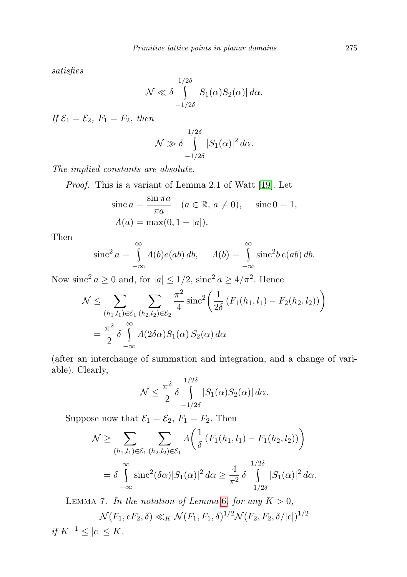satisfies

$$
\mathcal{N} \ll \delta \int\limits_{-1/2\delta}^{1/2\delta} |S_1(\alpha)S_2(\alpha)| d\alpha.
$$

If  $\mathcal{E}_1 = \mathcal{E}_2$ ,  $F_1 = F_2$ , then

$$
\mathcal{N} \gg \delta \int\limits_{-1/2\delta}^{1/2\delta} |S_1(\alpha)|^2 d\alpha.
$$

The implied constants are absolute.

Proof. This is a variant of Lemma 2.1 of Watt [\[19\]](#page-35-4). Let

$$
\sin \alpha = \frac{\sin \pi a}{\pi a} \quad (a \in \mathbb{R}, a \neq 0), \quad \text{ since } 0 = 1,
$$

$$
\Lambda(a) = \max(0, 1 - |a|).
$$

Then

$$
\operatorname{sinc}^2 a = \int_{-\infty}^{\infty} \Lambda(b)e(ab) db, \quad \Lambda(b) = \int_{-\infty}^{\infty} \operatorname{sinc}^2 b e(ab) db.
$$

Now sinc<sup>2</sup>  $a \ge 0$  and, for  $|a| \le 1/2$ , sinc<sup>2</sup>  $a \ge 4/\pi^2$ . Hence

$$
\mathcal{N} \leq \sum_{\substack{(h_1, l_1) \in \mathcal{E}_1 \\ n \to \infty}} \sum_{\substack{(h_2, l_2) \in \mathcal{E}_2 \\ n \to \infty}} \frac{\pi^2}{4} \operatorname{sinc}^2 \left( \frac{1}{2\delta} \left( F_1(h_1, l_1) - F_2(h_2, l_2) \right) \right)
$$

$$
= \frac{\pi^2}{2} \delta \int_{-\infty}^{\infty} \Lambda(2\delta\alpha) S_1(\alpha) \overline{S_2(\alpha)} d\alpha
$$

(after an interchange of summation and integration, and a change of variable). Clearly,

$$
\mathcal{N} \leq \frac{\pi^2}{2} \delta \int\limits_{-1/2\delta}^{1/2\delta} |S_1(\alpha)S_2(\alpha)| d\alpha.
$$

Suppose now that  $\mathcal{E}_1 = \mathcal{E}_2$ ,  $F_1 = F_2$ . Then

$$
\mathcal{N} \geq \sum_{(h_1, l_1) \in \mathcal{E}_1} \sum_{(h_2, l_2) \in \mathcal{E}_1} \Lambda \left( \frac{1}{\delta} \left( F_1(h_1, l_1) - F_1(h_2, l_2) \right) \right)
$$
  
=  $\delta \int_{-\infty}^{\infty} \text{sinc}^2(\delta \alpha) |S_1(\alpha)|^2 d\alpha \geq \frac{4}{\pi^2} \delta \int_{-1/2\delta}^{1/2\delta} |S_1(\alpha)|^2 d\alpha.$ 

<span id="page-8-0"></span>LEMMA 7. In the notation of Lemma [6](#page-7-0), for any  $K > 0$ ,  $\mathcal{N}(F_1, cF_2, \delta) \ll_K \mathcal{N}(F_1, F_1, \delta)^{1/2} \mathcal{N}(F_2, F_2, \delta/|c|)^{1/2}$ if  $K^{-1}$  ≤ |c| ≤ K.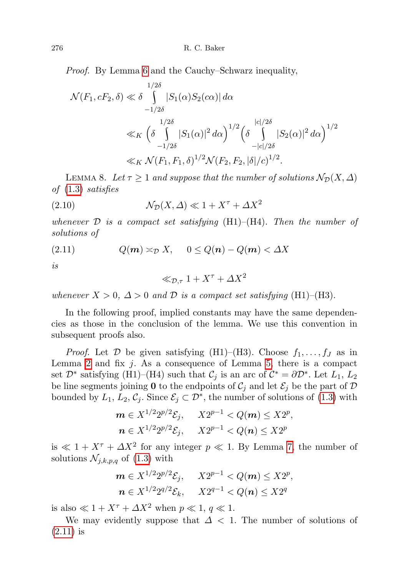Proof. By Lemma [6](#page-7-0) and the Cauchy–Schwarz inequality,

$$
\mathcal{N}(F_1, cF_2, \delta) \ll \delta \int_{-1/2\delta}^{1/2\delta} |S_1(\alpha)S_2(c\alpha)| d\alpha
$$
  

$$
\ll_K \left(\delta \int_{-1/2\delta}^{1/2\delta} |S_1(\alpha)|^2 d\alpha\right)^{1/2} \left(\delta \int_{-|c|/2\delta}^{|c|/2\delta} |S_2(\alpha)|^2 d\alpha\right)^{1/2}
$$
  

$$
\ll_K \mathcal{N}(F_1, F_1, \delta)^{1/2} \mathcal{N}(F_2, F_2, |\delta|/c)^{1/2}.
$$

<span id="page-9-1"></span>LEMMA 8. Let  $\tau \geq 1$  and suppose that the number of solutions  $\mathcal{N}_{\mathcal{D}}(X, \Delta)$ of [\(1.3\)](#page-2-4) satisfies

(2.10) 
$$
\mathcal{N}_{\mathcal{D}}(X,\Delta) \ll 1 + X^{\tau} + \Delta X^2
$$

whenever  $\mathcal D$  is a compact set satisfying (H1)–(H4). Then the number of solutions of

$$
(2.11) \tQ(m) \asymp_{\mathcal{D}} X, \t0 \le Q(n) - Q(m) < \Delta X
$$

is

<span id="page-9-0"></span>
$$
\ll_{\mathcal{D},\tau} 1 + X^{\tau} + \Delta X^2
$$

whenever  $X > 0$ ,  $\Delta > 0$  and  $\mathcal D$  is a compact set satisfying (H1)–(H3).

In the following proof, implied constants may have the same dependencies as those in the conclusion of the lemma. We use this convention in subsequent proofs also.

*Proof.* Let  $D$  be given satisfying (H1)–(H3). Choose  $f_1, \ldots, f_J$  as in Lemma [2](#page-5-1) and fix  $j$ . As a consequence of Lemma [5,](#page-7-1) there is a compact set  $\mathcal{D}^*$  satisfying (H1)–(H4) such that  $\mathcal{C}_j$  is an arc of  $\mathcal{C}^* = \partial \mathcal{D}^*$ . Let  $L_1, L_2$ be line segments joining 0 to the endpoints of  $\mathcal{C}_j$  and let  $\mathcal{E}_j$  be the part of D bounded by  $L_1, L_2, \mathcal{C}_j$ . Since  $\mathcal{E}_j \subset \mathcal{D}^*$ , the number of solutions of [\(1.3\)](#page-2-4) with

$$
\mathbf{m} \in X^{1/2} 2^{p/2} \mathcal{E}_j, \quad X 2^{p-1} < Q(\mathbf{m}) \leq X 2^p,
$$
\n
$$
\mathbf{n} \in X^{1/2} 2^{p/2} \mathcal{E}_j, \quad X 2^{p-1} < Q(\mathbf{n}) \leq X 2^p
$$

is  $\ll 1 + X^{\tau} + \Delta X^2$  for any integer  $p \ll 1$ . By Lemma [7,](#page-8-0) the number of solutions  $\mathcal{N}_{j,k,p,q}$  of [\(1.3\)](#page-2-4) with

$$
m \in X^{1/2} 2^{p/2} \mathcal{E}_j, \quad X 2^{p-1} < Q(m) \leq X 2^p,
$$
\n
$$
n \in X^{1/2} 2^{q/2} \mathcal{E}_k, \quad X 2^{q-1} < Q(n) \leq X 2^q
$$

is also  $\ll 1 + X^{\tau} + \Delta X^2$  when  $p \ll 1, q \ll 1$ .

We may evidently suppose that  $\Delta$  < 1. The number of solutions of [\(2.11\)](#page-9-0) is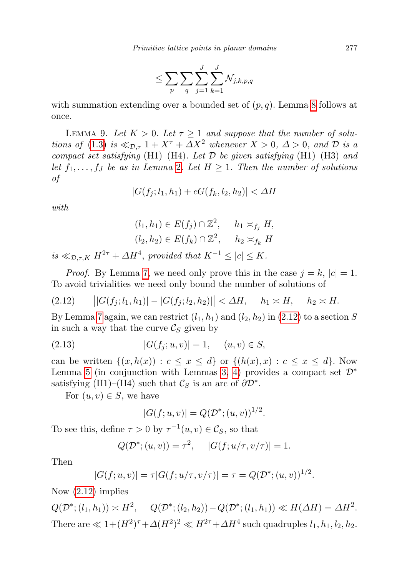$$
\leq \sum_p \sum_q \sum_{j=1}^J \sum_{k=1}^J \mathcal{N}_{j,k,p,q}
$$

with summation extending over a bounded set of  $(p, q)$ . Lemma [8](#page-9-1) follows at once.

<span id="page-10-2"></span>LEMMA 9. Let  $K > 0$ . Let  $\tau \geq 1$  and suppose that the number of solu-tions of [\(1.3\)](#page-2-4) is  $\ll_{\mathcal{D},\tau} 1 + X^{\tau} + \Delta X^2$  whenever  $X > 0$ ,  $\Delta > 0$ , and  $\mathcal D$  is a compact set satisfying (H1)–(H4). Let  $D$  be given satisfying (H1)–(H3) and let  $f_1, \ldots, f_J$  be as in Lemma [2](#page-5-1). Let  $H \geq 1$ . Then the number of solutions of

$$
|G(f_j; l_1, h_1) + cG(f_k, l_2, h_2)| < \Delta H
$$

with

$$
(l_1, h_1) \in E(f_j) \cap \mathbb{Z}^2, \quad h_1 \asymp_{f_j} H,
$$
  

$$
(l_2, h_2) \in E(f_k) \cap \mathbb{Z}^2, \quad h_2 \asymp_{f_k} H
$$

is  $\ll_{\mathcal{D},\tau,K} H^{2\tau} + \Delta H^4$ , provided that  $K^{-1} \leq |c| \leq K$ .

*Proof.* By Lemma [7,](#page-8-0) we need only prove this in the case  $j = k$ ,  $|c| = 1$ . To avoid trivialities we need only bound the number of solutions of

<span id="page-10-0"></span>
$$
(2.12) \qquad |G(f_j; l_1, h_1)| - |G(f_j; l_2, h_2)| < \Delta H, \quad h_1 \asymp H, \quad h_2 \asymp H.
$$

By Lemma [7](#page-8-0) again, we can restrict  $(l_1, h_1)$  and  $(l_2, h_2)$  in  $(2.12)$  to a section S in such a way that the curve  $\mathcal{C}_S$  given by

$$
(2.13) \t |G(f_j; u, v)| = 1, \t (u, v) \in S,
$$

can be written  $\{(x,h(x)) : c \leq x \leq d\}$  or  $\{(h(x),x) : c \leq x \leq d\}$ . Now Lemma [5](#page-7-1) (in conjunction with Lemmas [3,](#page-5-0) [4\)](#page-6-2) provides a compact set  $\mathcal{D}^*$ satisfying (H1)–(H4) such that  $\mathcal{C}_S$  is an arc of  $\partial \mathcal{D}^*$ .

For  $(u, v) \in S$ , we have

$$
|G(f; u, v)| = Q(\mathcal{D}^*; (u, v))^{1/2}.
$$

To see this, define  $\tau > 0$  by  $\tau^{-1}(u, v) \in \mathcal{C}_S$ , so that

$$
Q(\mathcal{D}^*; (u, v)) = \tau^2
$$
,  $|G(f; u/\tau, v/\tau)| = 1$ .

Then

$$
|G(f;u,v)| = \tau |G(f;u/\tau,v/\tau)| = \tau = Q(\mathcal{D}^*;(u,v))^{1/2}.
$$

Now [\(2.12\)](#page-10-0) implies

<span id="page-10-1"></span> $Q(\mathcal{D}^*; (l_1, h_1)) \simeq H^2$ ,  $Q(\mathcal{D}^*; (l_2, h_2)) - Q(\mathcal{D}^*; (l_1, h_1)) \ll H(\Delta H) = \Delta H^2$ . There are  $\ll 1 + (H^2)^{\tau} + \Delta (H^2)^2 \ll H^{2\tau} + \Delta H^4$  such quadruples  $l_1, h_1, l_2, h_2$ .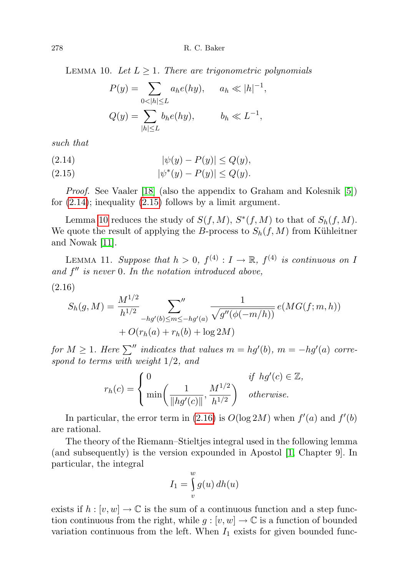LEMMA 10. Let  $L \geq 1$ . There are trigonometric polynomials

$$
P(y) = \sum_{0 < |h| \le L} a_h e(hy), \quad a_h \ll |h|^{-1},
$$
\n
$$
Q(y) = \sum_{|h| \le L} b_h e(hy), \quad b_h \ll L^{-1},
$$

such that

<span id="page-11-0"></span>
$$
(2.14) \qquad |\psi(y) - P(y)| \le Q(y),
$$

<span id="page-11-1"></span>(2.15) 
$$
|\psi^*(y) - P(y)| \le Q(y).
$$

Proof. See Vaaler [\[18\]](#page-35-5) (also the appendix to Graham and Kolesnik [\[5\]](#page-34-8)) for  $(2.14)$ ; inequality  $(2.15)$  follows by a limit argument.

Lemma [10](#page-10-1) reduces the study of  $S(f, M)$ ,  $S^*(f, M)$  to that of  $S_h(f, M)$ . We quote the result of applying the B-process to  $S_h(f, M)$  from Kühleitner and Nowak [\[11\]](#page-34-9).

<span id="page-11-3"></span>LEMMA 11. Suppose that  $h > 0$ ,  $f^{(4)} : I \to \mathbb{R}$ ,  $f^{(4)}$  is continuous on I and  $f''$  is never 0. In the notation introduced above,

<span id="page-11-2"></span>
$$
(2.16)
$$

$$
S_h(g, M) = \frac{M^{1/2}}{h^{1/2}} \sum_{-hg'(b) \le m \le -hg'(a)} \frac{1}{\sqrt{g''(\phi(-m/h))}} e(MG(f; m, h)) + O(r_h(a) + r_h(b) + \log 2M)
$$

for  $M \geq 1$ . Here  $\sum^{\prime\prime}$  indicates that values  $m = hg'(b)$ ,  $m = -hg'(a)$  correspond to terms with weight 1/2, and

$$
r_h(c) = \begin{cases} 0 & \text{if } hg'(c) \in \mathbb{Z}, \\ \min\left(\frac{1}{\|hg'(c)\|}, \frac{M^{1/2}}{h^{1/2}}\right) & otherwise. \end{cases}
$$

In particular, the error term in [\(2.16\)](#page-11-2) is  $O(\log 2M)$  when  $f'(a)$  and  $f'(b)$ are rational.

The theory of the Riemann–Stieltjes integral used in the following lemma (and subsequently) is the version expounded in Apostol [\[1,](#page-34-10) Chapter 9]. In particular, the integral

$$
I_1 = \int\limits_v^w g(u) \, dh(u)
$$

exists if  $h : [v, w] \to \mathbb{C}$  is the sum of a continuous function and a step function continuous from the right, while  $g : [v, w] \to \mathbb{C}$  is a function of bounded variation continuous from the left. When  $I_1$  exists for given bounded func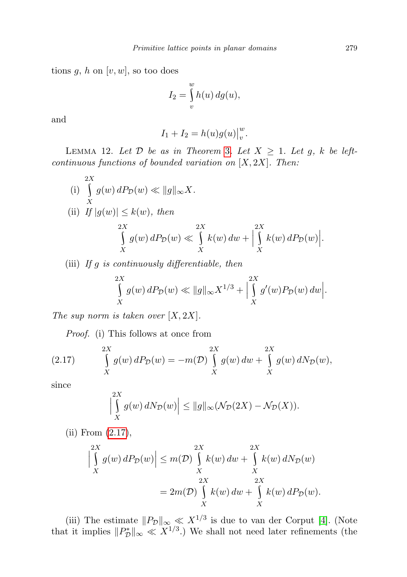tions  $g, h$  on  $[v, w]$ , so too does

$$
I_2 = \int\limits_v^w h(u) \, dg(u),
$$

and

$$
I_1 + I_2 = h(u)g(u)\big|_v^w.
$$

<span id="page-12-1"></span>LEMMA 12. Let  $D$  be as in Theorem [3](#page-2-2). Let  $X \geq 1$ . Let g, k be leftcontinuous functions of bounded variation on  $[X, 2X]$ . Then:

(i) 
$$
\int_{X}^{2X} g(w) dP_{\mathcal{D}}(w) \ll ||g||_{\infty} X.
$$
  
\n(ii) If  $|g(w)| \le k(w)$ , then  
\n
$$
\int_{X}^{2X} g(w) dP_{\mathcal{D}}(w) \ll \int_{X}^{2X} k(w) dw + \Big|_{X}^{2X} k(w) dP_{\mathcal{D}}(w) \Big|.
$$

(iii) If  $g$  is continuously differentiable, then

$$
\int_{X}^{2X} g(w) \, dP_{\mathcal{D}}(w) \ll ||g||_{\infty} X^{1/3} + \left| \int_{X}^{2X} g'(w) P_{\mathcal{D}}(w) \, dw \right|.
$$

The sup norm is taken over  $[X, 2X]$ .

Proof. (i) This follows at once from

(2.17) 
$$
\int_{X}^{2X} g(w) dP_{\mathcal{D}}(w) = -m(\mathcal{D}) \int_{X}^{2X} g(w) dw + \int_{X}^{2X} g(w) dN_{\mathcal{D}}(w),
$$

since

<span id="page-12-0"></span>
$$
\left|\int\limits_X^{2X} g(w) \, dN_{\mathcal{D}}(w)\right| \le ||g||_{\infty}(\mathcal{N}_{\mathcal{D}}(2X) - \mathcal{N}_{\mathcal{D}}(X)).
$$

(ii) From [\(2.17\)](#page-12-0),

$$
\left| \int\limits_X^{2X} g(w) \, dP_{\mathcal{D}}(w) \right| \le m(\mathcal{D}) \int\limits_X^{2X} k(w) \, dw + \int\limits_X^{2X} k(w) \, dN_{\mathcal{D}}(w)
$$

$$
= 2m(\mathcal{D}) \int\limits_X^{2X} k(w) \, dw + \int\limits_X^{2X} k(w) \, dP_{\mathcal{D}}(w).
$$

(iii) The estimate  $||P_{\mathcal{D}}||_{\infty} \ll X^{1/3}$  is due to van der Corput [\[4\]](#page-34-11). (Note that it implies  $||P_{\mathcal{D}}^*||_{\infty} \ll X^{1/3}$ .) We shall not need later refinements (the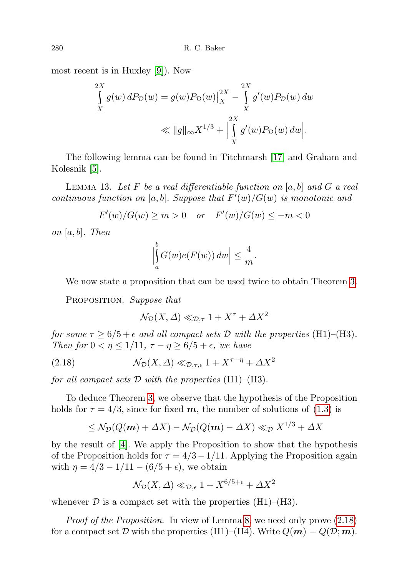most recent is in Huxley [\[9\]](#page-34-5)). Now

$$
\int_{X}^{2X} g(w) dP_{\mathcal{D}}(w) = g(w) P_{\mathcal{D}}(w) \Big|_{X}^{2X} - \int_{X}^{2X} g'(w) P_{\mathcal{D}}(w) dw
$$
\n
$$
\ll ||g||_{\infty} X^{1/3} + \Big| \int_{X}^{2X} g'(w) P_{\mathcal{D}}(w) dw \Big|.
$$

The following lemma can be found in Titchmarsh [\[17\]](#page-35-6) and Graham and Kolesnik [\[5\]](#page-34-8).

<span id="page-13-1"></span>LEMMA 13. Let F be a real differentiable function on  $[a, b]$  and G a real continuous function on [a, b]. Suppose that  $F'(w)/G(w)$  is monotonic and

 $F'(w)/G(w) \ge m > 0$  or  $F'(w)/G(w) \le -m < 0$ 

on  $[a, b]$ . Then

$$
\left| \int_a^b G(w)e(F(w)) \, dw \right| \le \frac{4}{m}.
$$

We now state a proposition that can be used twice to obtain Theorem [3.](#page-2-2)

PROPOSITION. Suppose that

<span id="page-13-0"></span>
$$
\mathcal{N}_{\mathcal{D}}(X,\varDelta)\ll_{\mathcal{D},\tau}1+X^{\tau}+\varDelta X^{2}
$$

for some  $\tau \geq 6/5 + \epsilon$  and all compact sets D with the properties (H1)–(H3). Then for  $0 < \eta \leq 1/11$ ,  $\tau - \eta \geq 6/5 + \epsilon$ , we have

(2.18) 
$$
\mathcal{N}_{\mathcal{D}}(X,\Delta) \ll_{\mathcal{D},\tau,\epsilon} 1 + X^{\tau-\eta} + \Delta X^2
$$

for all compact sets  $D$  with the properties (H1)–(H3).

To deduce Theorem [3,](#page-2-2) we observe that the hypothesis of the Proposition holds for  $\tau = 4/3$ , since for fixed m, the number of solutions of [\(1.3\)](#page-2-4) is

$$
\leq \mathcal{N}_{\mathcal{D}}(Q(\boldsymbol{m}) + \Delta X) - \mathcal{N}_{\mathcal{D}}(Q(\boldsymbol{m}) - \Delta X) \ll_{\mathcal{D}} X^{1/3} + \Delta X
$$

by the result of [\[4\]](#page-34-11). We apply the Proposition to show that the hypothesis of the Proposition holds for  $\tau = 4/3 - 1/11$ . Applying the Proposition again with  $\eta = 4/3 - 1/11 - (6/5 + \epsilon)$ , we obtain

$$
\mathcal{N}_{\mathcal{D}}(X,\Delta) \ll_{\mathcal{D},\epsilon} 1 + X^{6/5+\epsilon} + \Delta X^2
$$

whenever  $\mathcal D$  is a compact set with the properties (H1)–(H3).

Proof of the Proposition. In view of Lemma [8,](#page-9-1) we need only prove [\(2.18\)](#page-13-0) for a compact set D with the properties (H1)–(H4). Write  $Q(m) = Q(D; m)$ .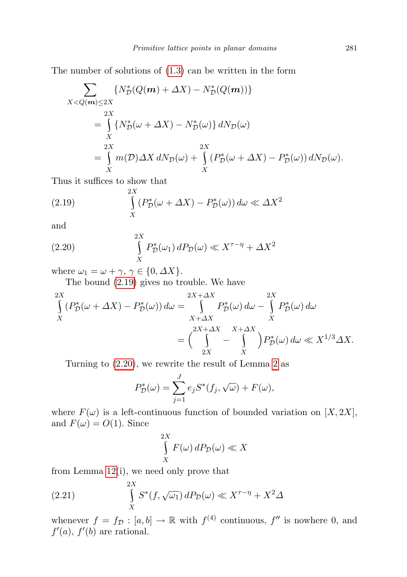The number of solutions of [\(1.3\)](#page-2-4) can be written in the form

$$
\sum_{X < Q(m) \le 2X} \{N_D^*(Q(m) + \Delta X) - N_D^*(Q(m))\}
$$
  
\n
$$
= \int_{X}^{2X} \{N_D^*(\omega + \Delta X) - N_D^*(\omega)\} dN_D(\omega)
$$
  
\n
$$
= \int_{X}^{2X} m(D) \Delta X dN_D(\omega) + \int_{X}^{2X} (P_D^*(\omega + \Delta X) - P_D^*(\omega)) dN_D(\omega).
$$

Thus it suffices to show that

<span id="page-14-0"></span>(2.19) 
$$
\int_{X}^{2X} (P_{\mathcal{D}}^{*}(\omega + \Delta X) - P_{\mathcal{D}}^{*}(\omega)) d\omega \ll \Delta X^{2}
$$

and

(2.20) 
$$
\int_{X}^{2X} P_{\mathcal{D}}^{*}(\omega_{1}) dP_{\mathcal{D}}(\omega) \ll X^{\tau-\eta} + \Delta X^{2}
$$

where  $\omega_1 = \omega + \gamma$ ,  $\gamma \in \{0, \Delta X\}$ .

<span id="page-14-1"></span>The bound [\(2.19\)](#page-14-0) gives no trouble. We have

$$
\int_{X}^{2X} (P_{\mathcal{D}}^{*}(\omega + \Delta X) - P_{\mathcal{D}}^{*}(\omega)) d\omega = \int_{X + \Delta X}^{2X} P_{\mathcal{D}}^{*}(\omega) d\omega - \int_{X}^{2X} P_{\mathcal{D}}^{*}(\omega) d\omega
$$
\n
$$
= \left(\int_{2X}^{2X + \Delta X} \int_{X}^{X + \Delta X} \int_{X}^{X + \Delta X} P_{\mathcal{D}}^{*}(\omega) d\omega \ll X^{1/3} \Delta X.
$$

Turning to [\(2.20\)](#page-14-1), we rewrite the result of Lemma [2](#page-5-1) as

$$
P_D^*(\omega) = \sum_{j=1}^J e_j S^*(f_j, \sqrt{\omega}) + F(\omega),
$$

where  $F(\omega)$  is a left-continuous function of bounded variation on [X, 2X], and  $F(\omega) = O(1)$ . Since

$$
\int_{X}^{2X} F(\omega) \, dP_{\mathcal{D}}(\omega) \ll X
$$

from Lemma [12\(](#page-12-1)i), we need only prove that

(2.21) 
$$
\int_{X}^{2X} S^*(f, \sqrt{\omega_1}) dP_{\mathcal{D}}(\omega) \ll X^{\tau - \eta} + X^2 \Delta
$$

whenever  $f = f_{\mathcal{D}} : [a, b] \to \mathbb{R}$  with  $f^{(4)}$  continuous,  $f''$  is nowhere 0, and  $f'(a)$ ,  $f'(b)$  are rational.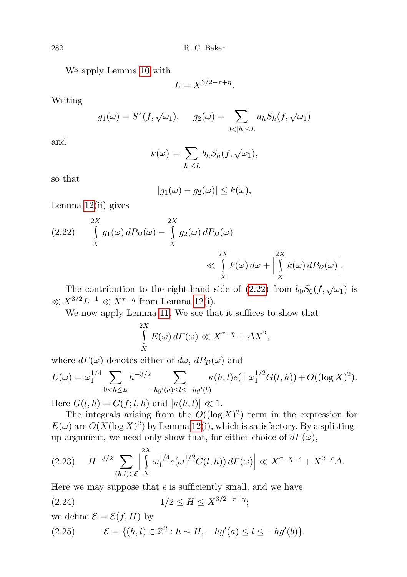We apply Lemma [10](#page-10-1) with

$$
L = X^{3/2 - \tau + \eta}.
$$

Writing

$$
g_1(\omega) = S^*(f, \sqrt{\omega_1}), \quad g_2(\omega) = \sum_{0 < |h| \le L} a_h S_h(f, \sqrt{\omega_1})
$$

and

$$
k(\omega) = \sum_{|h| \le L} b_h S_h(f, \sqrt{\omega_1}),
$$

so that

$$
|g_1(\omega) - g_2(\omega)| \le k(\omega),
$$

Lemma [12\(](#page-12-1)ii) gives

<span id="page-15-0"></span>(2.22) 
$$
\int_{X}^{2X} g_1(\omega) dP_{\mathcal{D}}(\omega) - \int_{X}^{2X} g_2(\omega) dP_{\mathcal{D}}(\omega)
$$
  

$$
\ll \int_{X}^{2X} k(\omega) d\omega + \Big|_{X}^{2X} k(\omega) dP_{\mathcal{D}}(\omega) \Big|.
$$

The contribution to the right-hand side of [\(2.22\)](#page-15-0) from  $b_0S_0(f, \sqrt{\omega_1})$  is  $\ll X^{3/2}L^{-1} \ll X^{\tau-\eta}$  from Lemma [12\(](#page-12-1)i).

We now apply Lemma [11.](#page-11-3) We see that it suffices to show that

$$
\int_{X}^{2X} E(\omega) d\Gamma(\omega) \ll X^{\tau - \eta} + \Delta X^2,
$$

where  $d\Gamma(\omega)$  denotes either of  $d\omega$ ,  $dP_{\mathcal{D}}(\omega)$  and

$$
E(\omega) = \omega_1^{1/4} \sum_{0 < h \le L} h^{-3/2} \sum_{-hg'(a) \le l \le -hg'(b)} \kappa(h, l) e(\pm \omega_1^{1/2} G(l, h)) + O((\log X)^2).
$$

Here  $G(l, h) = G(f; l, h)$  and  $|\kappa(h, l)| \ll 1$ .

The integrals arising from the  $O((\log X)^2)$  term in the expression for  $E(\omega)$  are  $O(X(\log X)^2)$  by Lemma [12\(](#page-12-1)i), which is satisfactory. By a splittingup argument, we need only show that, for either choice of  $d\Gamma(\omega)$ ,

<span id="page-15-1"></span>
$$
(2.23) \quad H^{-3/2} \sum_{(h,l)\in\mathcal{E}} \left| \int\limits_X^{2X} \omega_1^{1/4} e(\omega_1^{1/2} G(l,h)) d\Gamma(\omega) \right| \ll X^{\tau-\eta-\epsilon} + X^{2-\epsilon} \Delta.
$$

Here we may suppose that  $\epsilon$  is sufficiently small, and we have

$$
(2.24) \t1/2 \le H \le X^{3/2 - \tau + \eta};
$$

we define  $\mathcal{E} = \mathcal{E}(f, H)$  by

<span id="page-15-2"></span>(2.25) 
$$
\mathcal{E} = \{(h, l) \in \mathbb{Z}^2 : h \sim H, -hg'(a) \le l \le -hg'(b)\}.
$$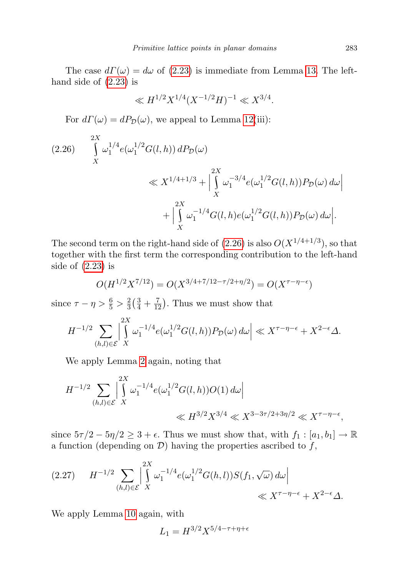The case  $d\Gamma(\omega) = d\omega$  of [\(2.23\)](#page-15-1) is immediate from Lemma [13.](#page-13-1) The lefthand side of [\(2.23\)](#page-15-1) is

$$
\ll H^{1/2} X^{1/4} (X^{-1/2} H)^{-1} \ll X^{3/4}.
$$

For  $d\Gamma(\omega) = dP_{\mathcal{D}}(\omega)$ , we appeal to Lemma [12\(](#page-12-1)iii):

<span id="page-16-0"></span>
$$
(2.26) \qquad \int_{X}^{2X} \omega_1^{1/4} e(\omega_1^{1/2} G(l, h)) \, dP_{\mathcal{D}}(\omega)
$$
  
\$\ll X^{1/4+1/3} + \left| \int\_{X}^{2X} \omega\_1^{-3/4} e(\omega\_1^{1/2} G(l, h)) P\_{\mathcal{D}}(\omega) \, d\omega \right|\$  
\$+ \left| \int\_{X}^{2X} \omega\_1^{-1/4} G(l, h) e(\omega\_1^{1/2} G(l, h)) P\_{\mathcal{D}}(\omega) \, d\omega \right].

The second term on the right-hand side of  $(2.26)$  is also  $O(X^{1/4+1/3})$ , so that together with the first term the corresponding contribution to the left-hand side of [\(2.23\)](#page-15-1) is

$$
O(H^{1/2}X^{7/12}) = O(X^{3/4+7/12-\tau/2+\eta/2}) = O(X^{\tau-\eta-\epsilon})
$$

since  $\tau - \eta > \frac{6}{5} > \frac{2}{3}$  $\frac{2}{3}(\frac{3}{4}+\frac{7}{12})$ . Thus we must show that

$$
H^{-1/2} \sum_{(h,l)\in\mathcal{E}} \left| \int\limits_X^{2X} \omega_1^{-1/4} e(\omega_1^{1/2} G(l,h)) P_{\mathcal{D}}(\omega) d\omega \right| \ll X^{\tau-\eta-\epsilon} + X^{2-\epsilon} \Delta.
$$

We apply Lemma [2](#page-5-1) again, noting that

$$
H^{-1/2} \sum_{(h,l)\in\mathcal{E}} \left| \int\limits_X^{2X} \omega_1^{-1/4} e(\omega_1^{1/2} G(l,h)) O(1) d\omega \right|
$$
  

$$
\ll H^{3/2} X^{3/4} \ll X^{3-3\tau/2+3\eta/2} \ll X^{\tau-\eta-\epsilon},
$$

since  $5\tau/2 - 5\eta/2 \geq 3 + \epsilon$ . Thus we must show that, with  $f_1 : [a_1, b_1] \to \mathbb{R}$ a function (depending on  $\mathcal{D}$ ) having the properties ascribed to  $f$ ,

<span id="page-16-1"></span>
$$
(2.27) \tH^{-1/2} \sum_{(h,l)\in \mathcal{E}} \left| \int_{X}^{2X} \omega_1^{-1/4} e(\omega_1^{1/2} G(h,l)) S(f_1, \sqrt{\omega}) d\omega \right| \ll X^{\tau-\eta-\epsilon} + X^{2-\epsilon} \Delta.
$$

We apply Lemma [10](#page-10-1) again, with

$$
L_1 = H^{3/2} X^{5/4 - \tau + \eta + \epsilon}
$$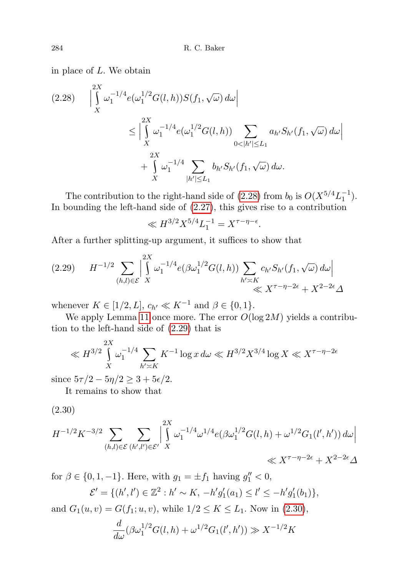in place of L. We obtain

<span id="page-17-0"></span>
$$
(2.28) \quad \Big| \int\limits_X^{2X} \omega_1^{-1/4} e(\omega_1^{1/2} G(l, h)) S(f_1, \sqrt{\omega}) d\omega \Big|
$$
  

$$
\leq \Big| \int\limits_X^{2X} \omega_1^{-1/4} e(\omega_1^{1/2} G(l, h)) \sum\limits_{0 < |h'| \le L_1} a_{h'} S_{h'}(f_1, \sqrt{\omega}) d\omega \Big|
$$
  

$$
+ \int\limits_X^{2X} \omega_1^{-1/4} \sum\limits_{|h'| \le L_1} b_{h'} S_{h'}(f_1, \sqrt{\omega}) d\omega.
$$

The contribution to the right-hand side of [\(2.28\)](#page-17-0) from  $b_0$  is  $O(X^{5/4}L_1^{-1})$ . In bounding the left-hand side of [\(2.27\)](#page-16-1), this gives rise to a contribution

$$
\ll H^{3/2} X^{5/4} L_1^{-1} = X^{\tau - \eta - \epsilon}.
$$

After a further splitting-up argument, it suffices to show that

<span id="page-17-1"></span>
$$
(2.29) \tH^{-1/2} \sum_{(h,l)\in\mathcal{E}} \left| \int_{X}^{2X} \omega_1^{-1/4} e(\beta \omega_1^{1/2} G(l,h)) \sum_{h'\asymp K} c_{h'} S_{h'}(f_1, \sqrt{\omega}) d\omega \right|
$$
  

$$
\ll X^{\tau-\eta-2\epsilon} + X^{2-2\epsilon} \Delta
$$

whenever  $K \in [1/2, L]$ ,  $c_{h'} \ll K^{-1}$  and  $\beta \in \{0, 1\}$ .

We apply Lemma [11](#page-11-3) once more. The error  $O(\log 2M)$  yields a contribution to the left-hand side of [\(2.29\)](#page-17-1) that is

$$
\ll H^{3/2} \int\limits_X^{2X} \omega_1^{-1/4} \sum\limits_{h' \asymp K} K^{-1} \log x \, d\omega \ll H^{3/2} X^{3/4} \log X \ll X^{\tau - \eta - 2\epsilon}
$$

since  $5\tau/2 - 5\eta/2 \geq 3 + 5\epsilon/2$ .

It remains to show that

<span id="page-17-2"></span>(2.30)

$$
H^{-1/2}K^{-3/2}\sum_{(h,l)\in\mathcal{E}}\sum_{(h',l')\in\mathcal{E}'}\left|\int_{X}^{2X}\omega_1^{-1/4}\omega^{1/4}e(\beta\omega_1^{1/2}G(l,h)+\omega^{1/2}G_1(l',h'))\,d\omega\right|
$$
  

$$
\ll X^{\tau-\eta-2\epsilon}+X^{2-2\epsilon}\Delta
$$

for  $\beta \in \{0, 1, -1\}$ . Here, with  $g_1 = \pm f_1$  having  $g_1'' < 0$ ,

$$
\mathcal{E}' = \{(h', l') \in \mathbb{Z}^2 : h' \sim K, -h'g'_1(a_1) \le l' \le -h'g'_1(b_1)\},\
$$

and  $G_1(u, v) = G(f_1; u, v)$ , while  $1/2 \le K \le L_1$ . Now in [\(2.30\)](#page-17-2),

$$
\frac{d}{d\omega}(\beta\omega_1^{1/2}G(l,h)+\omega^{1/2}G_1(l',h')) \gg X^{-1/2}K
$$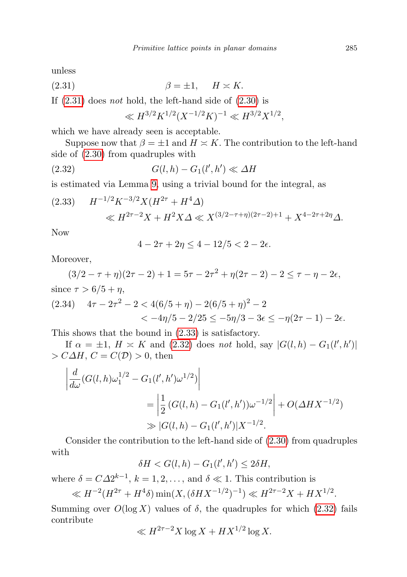unless

$$
\beta = \pm 1, \quad H \asymp K.
$$

If  $(2.31)$  does not hold, the left-hand side of  $(2.30)$  is

<span id="page-18-2"></span><span id="page-18-0"></span>
$$
\ll H^{3/2} K^{1/2} (X^{-1/2} K)^{-1} \ll H^{3/2} X^{1/2},
$$

which we have already seen is acceptable.

Suppose now that  $\beta = \pm 1$  and  $H \approx K$ . The contribution to the left-hand side of [\(2.30\)](#page-17-2) from quadruples with

$$
(2.32) \tG(l,h) - G_1(l',h') \ll \Delta H
$$

is estimated via Lemma [9,](#page-10-2) using a trivial bound for the integral, as

<span id="page-18-1"></span>
$$
(2.33) \quad H^{-1/2}K^{-3/2}X(H^{2\tau} + H^4\Delta) \ll H^{2\tau - 2}X + H^2X\Delta \ll X^{(3/2 - \tau + \eta)(2\tau - 2) + 1} + X^{4 - 2\tau + 2\eta}\Delta.
$$

Now

$$
4 - 2\tau + 2\eta \le 4 - 12/5 < 2 - 2\epsilon.
$$

Moreover,

<span id="page-18-3"></span>
$$
(3/2 - \tau + \eta)(2\tau - 2) + 1 = 5\tau - 2\tau^2 + \eta(2\tau - 2) - 2 \le \tau - \eta - 2\epsilon,
$$
  
since  $\tau > 6/5 + \eta$ ,  
(2.34)  $4\tau - 2\tau^2 - 2 < 4(6/5 + \eta) - 2(6/5 + \eta)^2 - 2$ 

$$
<-4\eta/5 - 2/25 \le -5\eta/3 - 3\epsilon \le -\eta(2\tau - 1) - 2\epsilon.
$$

This shows that the bound in [\(2.33\)](#page-18-1) is satisfactory.

If  $\alpha = \pm 1$ ,  $H \approx K$  and [\(2.32\)](#page-18-2) does not hold, say  $|G(l, h) - G_1(l', h')|$  $\geq C\Delta H$ ,  $C = C(\mathcal{D}) > 0$ , then

$$
\left| \frac{d}{d\omega} (G(l, h)\omega_1^{1/2} - G_1(l', h')\omega^{1/2}) \right|
$$
  
= 
$$
\left| \frac{1}{2} (G(l, h) - G_1(l', h'))\omega^{-1/2} \right| + O(\Delta H X^{-1/2})
$$
  
\gg 
$$
|G(l, h) - G_1(l', h')|X^{-1/2}.
$$

Consider the contribution to the left-hand side of [\(2.30\)](#page-17-2) from quadruples with

$$
\delta H < G(l, h) - G_1(l', h') \le 2\delta H,
$$

where  $\delta = C\Delta 2^{k-1}$ ,  $k = 1, 2, \ldots$ , and  $\delta \ll 1$ . This contribution is

$$
\ll H^{-2}(H^{2\tau} + H^4\delta) \min(X, (\delta H X^{-1/2})^{-1}) \ll H^{2\tau - 2}X + H X^{1/2}.
$$

Summing over  $O(\log X)$  values of  $\delta$ , the quadruples for which [\(2.32\)](#page-18-2) fails contribute

$$
\ll H^{2\tau-2}X\log X + HX^{1/2}\log X.
$$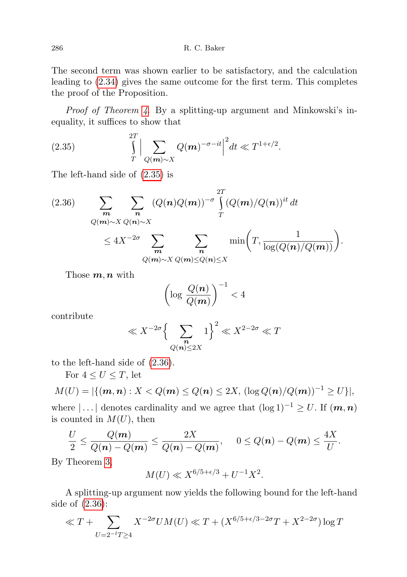The second term was shown earlier to be satisfactory, and the calculation leading to [\(2.34\)](#page-18-3) gives the same outcome for the first term. This completes the proof of the Proposition.

Proof of Theorem [4](#page-2-3). By a splitting-up argument and Minkowski's inequality, it suffices to show that

<span id="page-19-0"></span>(2.35) 
$$
\int_{T}^{2T} \Big| \sum_{Q(\mathbf{m}) \sim X} Q(\mathbf{m})^{-\sigma - it} \Big|^2 dt \ll T^{1+\epsilon/2}.
$$

The left-hand side of [\(2.35\)](#page-19-0) is

<span id="page-19-1"></span>
$$
(2.36) \qquad \sum_{\substack{\boldsymbol{m} \\ Q(\boldsymbol{m}) \sim X}} \sum_{\substack{\boldsymbol{Q}(\boldsymbol{n}) \sim X \\ \boldsymbol{Q}(\boldsymbol{m}) \sim X}} (Q(\boldsymbol{n})Q(\boldsymbol{m}))^{-\sigma} \int_{T}^{2T} (Q(\boldsymbol{m})/Q(\boldsymbol{n}))^{it} dt
$$

$$
\leq 4X^{-2\sigma} \sum_{\substack{\boldsymbol{m} \\ Q(\boldsymbol{m}) \sim X}} \sum_{\substack{\boldsymbol{Q}(\boldsymbol{m}) \leq Q(\boldsymbol{n}) \leq X}} \min\left(T, \frac{1}{\log(Q(\boldsymbol{n})/Q(\boldsymbol{m}))}\right).
$$

Those  $m, n$  with

$$
\left(\log \frac{Q(n)}{Q(m)}\right)^{-1} < 4
$$

contribute

$$
\ll X^{-2\sigma}\Big\{\sum_{\substack{n\\ Q(n)\le 2X}}1\Big\}^2\ll X^{2-2\sigma}\ll T
$$

to the left-hand side of [\(2.36\)](#page-19-1).

For  $4 \leq U \leq T$ , let

$$
M(U) = |\{ (m, n) : X < Q(m) \le Q(n) \le 2X, \, (\log Q(n) / Q(m))^{-1} \ge U \}|,
$$

where  $\left| \ldots \right|$  denotes cardinality and we agree that  $(\log 1)^{-1} \geq U$ . If  $(m, n)$ is counted in  $M(U)$ , then

$$
\frac{U}{2} \leq \frac{Q(m)}{Q(n)-Q(m)} \leq \frac{2X}{Q(n)-Q(m)}, \quad 0 \leq Q(n)-Q(m) \leq \frac{4X}{U}.
$$

By Theorem [3,](#page-2-2)

$$
M(U) \ll X^{6/5 + \epsilon/3} + U^{-1}X^2
$$
.

A splitting-up argument now yields the following bound for the left-hand side of [\(2.36\)](#page-19-1):

$$
\ll T + \sum_{U=2^{-l}T \ge 4} X^{-2\sigma} U M(U) \ll T + (X^{6/5 + \epsilon/3 - 2\sigma} T + X^{2-2\sigma}) \log T
$$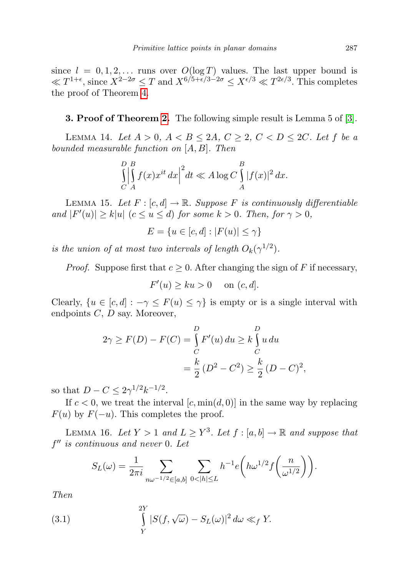since  $l = 0, 1, 2, \ldots$  runs over  $O(\log T)$  values. The last upper bound is  $\ll T^{1+\epsilon}$ , since  $X^{2-2\sigma} \leq T$  and  $X^{6/5+\epsilon/3-2\sigma} \leq X^{\epsilon/3} \ll T^{2\epsilon/3}$ . This completes the proof of Theorem [4.](#page-2-3)

3. Proof of Theorem [2.](#page-2-1) The following simple result is Lemma 5 of [\[3\]](#page-34-7).

<span id="page-20-2"></span>LEMMA 14. Let  $A > 0$ ,  $A < B \le 2A$ ,  $C \ge 2$ ,  $C < D \le 2C$ . Let f be a bounded measurable function on [A, B]. Then

$$
\iint\limits_C^D \left| \int\limits_A^B f(x) x^{it} \, dx \right|^2 dt \ll A \log C \int\limits_A^B |f(x)|^2 \, dx.
$$

<span id="page-20-1"></span>LEMMA 15. Let  $F : [c, d] \to \mathbb{R}$ . Suppose F is continuously differentiable and  $|F'(u)| \ge k|u|$   $(c \le u \le d)$  for some  $k > 0$ . Then, for  $\gamma > 0$ ,

$$
E = \{u \in [c, d] : |F(u)| \le \gamma\}
$$

is the union of at most two intervals of length  $O_k(\gamma^{1/2})$ .

*Proof.* Suppose first that  $c \geq 0$ . After changing the sign of F if necessary,

$$
F'(u) \ge ku > 0 \quad \text{ on } (c, d].
$$

Clearly,  $\{u \in [c, d] : -\gamma \leq F(u) \leq \gamma\}$  is empty or is a single interval with endpoints  $C, D$  say. Moreover,

$$
2\gamma \ge F(D) - F(C) = \int_{C}^{D} F'(u) \, du \ge k \int_{C}^{D} u \, du
$$
  
=  $\frac{k}{2} (D^2 - C^2) \ge \frac{k}{2} (D - C)^2$ ,

so that  $D - C \leq 2\gamma^{1/2}k^{-1/2}$ .

If  $c < 0$ , we treat the interval  $[c, \min(d, 0)]$  in the same way by replacing  $F(u)$  by  $F(-u)$ . This completes the proof.

<span id="page-20-3"></span>LEMMA 16. Let  $Y > 1$  and  $L \geq Y^3$ . Let  $f : [a, b] \to \mathbb{R}$  and suppose that  $f''$  is continuous and never 0. Let

<span id="page-20-0"></span>
$$
S_L(\omega) = \frac{1}{2\pi i} \sum_{n\omega^{-1/2} \in [a,b]} \sum_{0 < |h| \le L} h^{-1} e\left(h\omega^{1/2} f\left(\frac{n}{\omega^{1/2}}\right)\right).
$$

Then

(3.1) 
$$
\int\limits_Y^{2Y} |S(f,\sqrt{\omega}) - S_L(\omega)|^2 d\omega \ll_f Y.
$$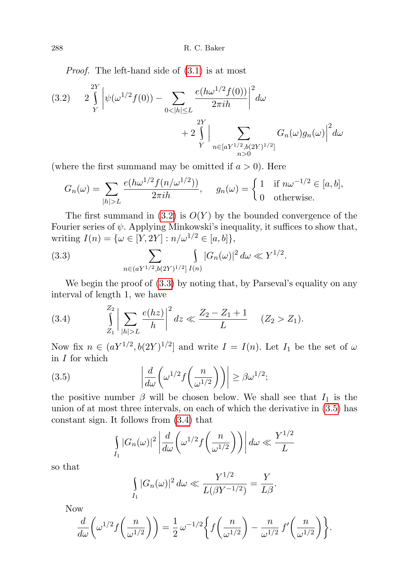288 R. C. Baker

Proof. The left-hand side of [\(3.1\)](#page-20-0) is at most

<span id="page-21-0"></span>(3.2) 
$$
2\int_{Y}^{2Y} \left| \psi(\omega^{1/2} f(0)) - \sum_{0 < |h| \le L} \frac{e(h\omega^{1/2} f(0))}{2\pi i h} \right|^{2} d\omega + 2\int_{Y}^{2Y} \left| \sum_{\substack{n \in [aY^{1/2}, b(2Y)^{1/2}]} \atop n > 0} G_{n}(\omega) g_{n}(\omega) \right|^{2} d\omega
$$

(where the first summand may be omitted if  $a > 0$ ). Here

$$
G_n(\omega) = \sum_{|h|>L} \frac{e(h\omega^{1/2} f(n/\omega^{1/2}))}{2\pi i h}, \quad g_n(\omega) = \begin{cases} 1 & \text{if } n\omega^{-1/2} \in [a, b], \\ 0 & \text{otherwise.} \end{cases}
$$

The first summand in  $(3.2)$  is  $O(Y)$  by the bounded convergence of the Fourier series of  $\psi$ . Applying Minkowski's inequality, it suffices to show that, writing  $I(n) = \{ \omega \in [Y, 2Y] : n/\omega^{1/2} \in [a, b] \},\$ 

<span id="page-21-1"></span>(3.3) 
$$
\sum_{n \in (aY^{1/2}, b(2Y)^{1/2}]} \int_{I(n)} |G_n(\omega)|^2 d\omega \ll Y^{1/2}.
$$

We begin the proof of  $(3.3)$  by noting that, by Parseval's equality on any interval of length 1, we have

<span id="page-21-3"></span>(3.4) 
$$
\int_{Z_1}^{Z_2} \left| \sum_{|h|>L} \frac{e(hz)}{h} \right|^2 dz \ll \frac{Z_2 - Z_1 + 1}{L} \quad (Z_2 > Z_1).
$$

Now fix  $n \in (aY^{1/2}, b(2Y)^{1/2}]$  and write  $I = I(n)$ . Let  $I_1$  be the set of  $\omega$ in  $I$  for which

(3.5) 
$$
\left| \frac{d}{d\omega} \left( \omega^{1/2} f \left( \frac{n}{\omega^{1/2}} \right) \right) \right| \ge \beta \omega^{1/2};
$$

the positive number  $\beta$  will be chosen below. We shall see that  $I_1$  is the union of at most three intervals, on each of which the derivative in [\(3.5\)](#page-21-2) has constant sign. It follows from [\(3.4\)](#page-21-3) that

<span id="page-21-2"></span>
$$
\int_{I_1} |G_n(\omega)|^2 \left| \frac{d}{d\omega} \left( \omega^{1/2} f\left(\frac{n}{\omega^{1/2}}\right) \right) \right| d\omega \ll \frac{Y^{1/2}}{L}
$$

so that

$$
\int\limits_{I_1} |G_n(\omega)|^2 d\omega \ll \frac{Y^{1/2}}{L(\beta Y^{-1/2})} = \frac{Y}{L\beta}.
$$

Now

$$
\frac{d}{d\omega}\left(\omega^{1/2}f\left(\frac{n}{\omega^{1/2}}\right)\right) = \frac{1}{2}\,\omega^{-1/2}\bigg\{f\bigg(\frac{n}{\omega^{1/2}}\bigg) - \frac{n}{\omega^{1/2}}\,f'\bigg(\frac{n}{\omega^{1/2}}\bigg)\bigg\}.
$$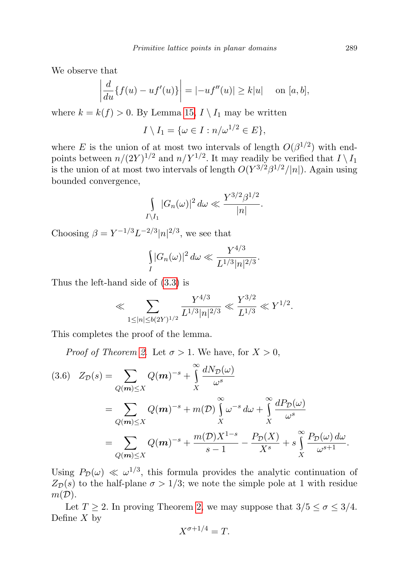We observe that

$$
\left| \frac{d}{du} \{ f(u) - uf'(u) \} \right| = |-uf''(u)| \ge k|u| \quad \text{on } [a, b],
$$

where  $k = k(f) > 0$ . By Lemma [15,](#page-20-1)  $I \setminus I_1$  may be written

$$
I\setminus I_1=\{\omega\in I:n/\omega^{1/2}\in E\},\
$$

where E is the union of at most two intervals of length  $O(\beta^{1/2})$  with endpoints between  $n/(2Y)^{1/2}$  and  $n/Y^{1/2}$ . It may readily be verified that  $I \setminus I_1$ is the union of at most two intervals of length  $O(Y^{3/2}\beta^{1/2}/|n|)$ . Again using bounded convergence,

$$
\int_{I\setminus I_1} |G_n(\omega)|^2 \, d\omega \ll \frac{Y^{3/2} \beta^{1/2}}{|n|}.
$$

Choosing  $\beta = Y^{-1/3}L^{-2/3}|n|^{2/3}$ , we see that

$$
\int_{I} |G_n(\omega)|^2 \, d\omega \ll \frac{Y^{4/3}}{L^{1/3} |n|^{2/3}}.
$$

Thus the left-hand side of [\(3.3\)](#page-21-1) is

$$
\ll \sum_{1 \le |n| \le b(2Y)^{1/2}} \frac{Y^{4/3}}{L^{1/3} |n|^{2/3}} \ll \frac{Y^{3/2}}{L^{1/3}} \ll Y^{1/2}.
$$

This completes the proof of the lemma.

*Proof of Theorem [2](#page-2-1).* Let  $\sigma > 1$ . We have, for  $X > 0$ ,

<span id="page-22-0"></span>
$$
(3.6) \quad Z_{\mathcal{D}}(s) = \sum_{Q(\mathbf{m}) \leq X} Q(\mathbf{m})^{-s} + \int_{X}^{\infty} \frac{dN_{\mathcal{D}}(\omega)}{\omega^{s}}
$$
  
= 
$$
\sum_{Q(\mathbf{m}) \leq X} Q(\mathbf{m})^{-s} + m(\mathcal{D}) \int_{X}^{\infty} \omega^{-s} d\omega + \int_{X}^{\infty} \frac{dP_{\mathcal{D}}(\omega)}{\omega^{s}}
$$
  
= 
$$
\sum_{Q(\mathbf{m}) \leq X} Q(\mathbf{m})^{-s} + \frac{m(\mathcal{D})X^{1-s}}{s-1} - \frac{P_{\mathcal{D}}(X)}{X^{s}} + s \int_{X}^{\infty} \frac{P_{\mathcal{D}}(\omega) d\omega}{\omega^{s+1}}.
$$

Using  $P_{\mathcal{D}}(\omega) \ll \omega^{1/3}$ , this formula provides the analytic continuation of  $Z_{\mathcal{D}}(s)$  to the half-plane  $\sigma > 1/3$ ; we note the simple pole at 1 with residue  $m(\mathcal{D}).$ 

Let  $T \geq 2$ . In proving Theorem [2,](#page-2-1) we may suppose that  $3/5 \leq \sigma \leq 3/4$ . Define  $X$  by

$$
X^{\sigma+1/4} = T.
$$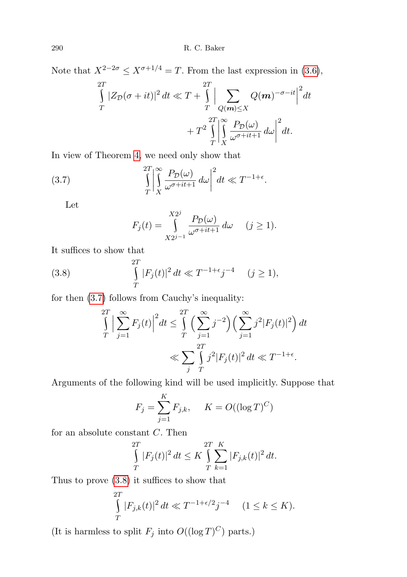Note that  $X^{2-2\sigma} \le X^{\sigma+1/4} = T$ . From the last expression in [\(3.6\)](#page-22-0),

$$
\int_{T}^{2T} |Z_{\mathcal{D}}(\sigma + it)|^2 dt \ll T + \int_{T}^{2T} \left| \sum_{Q(\mathbf{m}) \le X} Q(\mathbf{m})^{-\sigma - it} \right|^2 dt
$$

$$
+ T^2 \int_{T}^{2T} \left| \int_{X}^{\infty} \frac{P_{\mathcal{D}}(\omega)}{\omega^{\sigma + it + 1}} d\omega \right|^2 dt.
$$

In view of Theorem [4,](#page-2-3) we need only show that

(3.7) 
$$
\int_{T}^{2T} \left| \int_{X}^{\infty} \frac{P_{\mathcal{D}}(\omega)}{\omega^{\sigma+it+1}} d\omega \right|^{2} dt \ll T^{-1+\epsilon}.
$$

Let

<span id="page-23-0"></span>
$$
F_j(t) = \int_{X2^{j-1}}^{X2^j} \frac{P_{\mathcal{D}}(\omega)}{\omega^{\sigma+it+1}} d\omega \quad (j \ge 1).
$$

It suffices to show that

(3.8) 
$$
\int_{T}^{2T} |F_j(t)|^2 dt \ll T^{-1+\epsilon} j^{-4} \quad (j \ge 1),
$$

for then [\(3.7\)](#page-23-0) follows from Cauchy's inequality:

<span id="page-23-1"></span>
$$
\int_{T}^{2T} \left| \sum_{j=1}^{\infty} F_j(t) \right|^2 dt \le \int_{T}^{2T} \left( \sum_{j=1}^{\infty} j^{-2} \right) \left( \sum_{j=1}^{\infty} j^2 |F_j(t)|^2 \right) dt
$$
  

$$
\ll \sum_{j} \int_{T}^{2T} j^2 |F_j(t)|^2 dt \ll T^{-1+\epsilon}.
$$

Arguments of the following kind will be used implicitly. Suppose that

$$
F_j = \sum_{j=1}^{K} F_{j,k}, \quad K = O((\log T)^C)
$$

for an absolute constant C. Then

$$
\int_{T}^{2T} |F_j(t)|^2 dt \leq K \int_{T}^{2T} \sum_{k=1}^{K} |F_{j,k}(t)|^2 dt.
$$

Thus to prove [\(3.8\)](#page-23-1) it suffices to show that

$$
\int_{T}^{2T} |F_{j,k}(t)|^2 dt \ll T^{-1+\epsilon/2} j^{-4} \quad (1 \le k \le K).
$$

(It is harmless to split  $F_j$  into  $O((\log T)^C)$  parts.)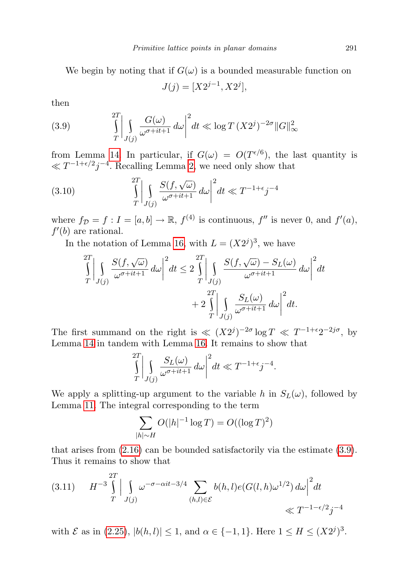We begin by noting that if  $G(\omega)$  is a bounded measurable function on

$$
J(j) = [X2^{j-1}, X2^j],
$$

then

<span id="page-24-0"></span>(3.9) 
$$
\int_{T}^{2T} \left| \int_{J(j)} \frac{G(\omega)}{\omega^{\sigma+it+1}} d\omega \right|^{2} dt \ll \log T (X2^{j})^{-2\sigma} ||G||^{2}_{\infty}
$$

from Lemma [14.](#page-20-2) In particular, if  $G(\omega) = O(T^{\epsilon/6})$ , the last quantity is  $\ll T^{-1+\epsilon/2}j^{-4}$ . Recalling Lemma [2,](#page-5-1) we need only show that

(3.10) 
$$
\int_{T}^{2T} \left| \int_{J(j)} \frac{S(f, \sqrt{\omega})}{\omega^{\sigma+it+1}} d\omega \right|^{2} dt \ll T^{-1+\epsilon} j^{-4}
$$

where  $f_{\mathcal{D}} = f : I = [a, b] \to \mathbb{R}, f^{(4)}$  is continuous,  $f''$  is never 0, and  $f'(a)$ ,  $f'(b)$  are rational.

In the notation of Lemma [16,](#page-20-3) with  $L = (X2<sup>j</sup>)<sup>3</sup>$ , we have

$$
\int_{T}^{2T} \left| \int_{J(j)} \frac{S(f, \sqrt{\omega})}{\omega^{\sigma+it+1}} d\omega \right|^{2} dt \le 2 \int_{T}^{2T} \left| \int_{J(j)} \frac{S(f, \sqrt{\omega}) - S_{L}(\omega)}{\omega^{\sigma+it+1}} d\omega \right|^{2} dt \n+ 2 \int_{T}^{2T} \left| \int_{J(j)} \frac{S_{L}(\omega)}{\omega^{\sigma+it+1}} d\omega \right|^{2} dt.
$$

The first summand on the right is  $\ll (X2^{j})^{-2\sigma} \log T \ll T^{-1+\epsilon}2^{-2j\sigma}$ , by Lemma [14](#page-20-2) in tandem with Lemma [16.](#page-20-3) It remains to show that

$$
\int_{T}^{2T} \left| \int_{J(j)} \frac{S_L(\omega)}{\omega^{\sigma+it+1}} \, d\omega \right|^2 dt \ll T^{-1+\epsilon} j^{-4}.
$$

We apply a splitting-up argument to the variable h in  $S_L(\omega)$ , followed by Lemma [11.](#page-11-3) The integral corresponding to the term

$$
\sum_{|h| \sim H} O(|h|^{-1} \log T) = O((\log T)^2)
$$

that arises from  $(2.16)$  can be bounded satisfactorily via the estimate  $(3.9)$ . Thus it remains to show that

<span id="page-24-1"></span>
$$
(3.11) \tH^{-3} \int_{T}^{2T} \Big| \int_{J(j)} \omega^{-\sigma - \alpha it - 3/4} \sum_{(h,l) \in \mathcal{E}} b(h,l) e(G(l,h)\omega^{1/2}) d\omega \Big|^2 dt \ll T^{-1-\epsilon/2} j^{-4}
$$

with  $\mathcal E$  as in [\(2.25\)](#page-15-2),  $|b(h, l)| \leq 1$ , and  $\alpha \in \{-1, 1\}$ . Here  $1 \leq H \leq (X2^j)^3$ .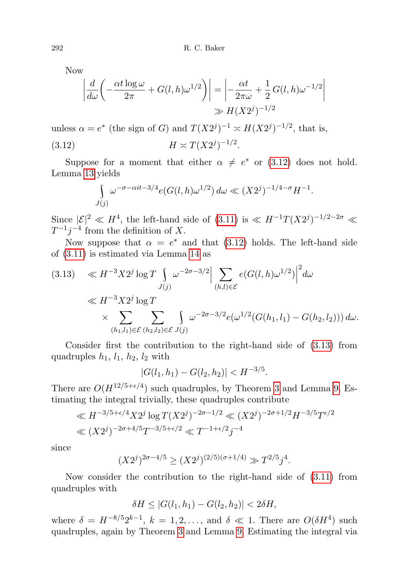Now

$$
\left| \frac{d}{d\omega} \left( -\frac{\alpha t \log \omega}{2\pi} + G(l, h)\omega^{1/2} \right) \right| = \left| -\frac{\alpha t}{2\pi \omega} + \frac{1}{2} G(l, h)\omega^{-1/2} \right|
$$
  

$$
\gg H(X2^{j})^{-1/2}
$$

unless  $\alpha = e^*$  (the sign of G) and  $T(X2^j)^{-1} \approx H(X2^j)^{-1/2}$ , that is, (3.12)  $H \asymp T(X2^{j})^{-1/2}$ .

Suppose for a moment that either  $\alpha \neq e^*$  or [\(3.12\)](#page-25-0) does not hold. Lemma [13](#page-13-1) yields

<span id="page-25-0"></span>
$$
\int_{J(j)} \omega^{-\sigma - \alpha i t - 3/4} e(G(l, h)\omega^{1/2}) d\omega \ll (X2^{j})^{-1/4 - \sigma} H^{-1}.
$$

Since  $|\mathcal{E}|^2 \ll H^4$ , the left-hand side of  $(3.11)$  is  $\ll H^{-1}T(X2^j)^{-1/2-2\sigma} \ll$  $T^{-1}j^{-4}$  from the definition of X.

Now suppose that  $\alpha = e^*$  and that [\(3.12\)](#page-25-0) holds. The left-hand side of [\(3.11\)](#page-24-1) is estimated via Lemma [14](#page-20-2) as

<span id="page-25-1"></span>
$$
(3.13) \quad \ll H^{-3} X 2^{j} \log T \int_{J(j)} \omega^{-2\sigma - 3/2} \Big| \sum_{(h,l) \in \mathcal{E}} e(G(l, h) \omega^{1/2}) \Big|^{2} d\omega
$$
  

$$
\ll H^{-3} X 2^{j} \log T \times \sum_{(h_{1}, l_{1}) \in \mathcal{E}} \sum_{(h_{2}, l_{2}) \in \mathcal{E}} \int_{J(j)} \omega^{-2\sigma - 3/2} e(\omega^{1/2} (G(h_{1}, l_{1}) - G(h_{2}, l_{2}))) d\omega.
$$

Consider first the contribution to the right-hand side of [\(3.13\)](#page-25-1) from quadruples  $h_1$ ,  $l_1$ ,  $h_2$ ,  $l_2$  with

$$
|G(l_1, h_1) - G(l_2, h_2)| < H^{-3/5}.
$$

There are  $O(H^{12/5+\epsilon/4})$  such quadruples, by Theorem [3](#page-2-2) and Lemma [9.](#page-10-2) Estimating the integral trivially, these quadruples contribute

$$
\ll H^{-3/5 + \epsilon/4} X 2^j \log T (X 2^j)^{-2\sigma - 1/2} \ll (X 2^j)^{-2\sigma + 1/2} H^{-3/5} T^{\epsilon/2}
$$
  

$$
\ll (X 2^j)^{-2\sigma + 4/5} T^{-3/5 + \epsilon/2} \ll T^{-1 + \epsilon/2} j^{-4}
$$

since

$$
(X2j)2\sigma-4/5 \ge (X2j)(2/5)(\sigma+1/4) \gg T2/5j4.
$$

Now consider the contribution to the right-hand side of [\(3.11\)](#page-24-1) from quadruples with

$$
\delta H \le |G(l_1, h_1) - G(l_2, h_2)| < 2\delta H,
$$

where  $\delta = H^{-8/5} 2^{k-1}$ ,  $k = 1, 2, \ldots$ , and  $\delta \ll 1$ . There are  $O(\delta H^4)$  such quadruples, again by Theorem [3](#page-2-2) and Lemma [9.](#page-10-2) Estimating the integral via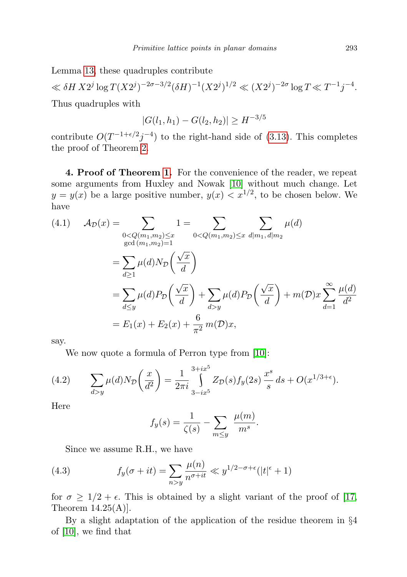Lemma [13,](#page-13-1) these quadruples contribute

 $\ll \delta H \, X 2^j \log T (X 2^j)^{-2\sigma-3/2} (\delta H)^{-1} (X 2^j)^{1/2} \ll (X 2^j)^{-2\sigma} \log T \ll T^{-1} j^{-4}.$ Thus quadruples with

$$
|G(l_1, h_1) - G(l_2, h_2)| \ge H^{-3/5}
$$

contribute  $O(T^{-1+\epsilon/2}j^{-4})$  to the right-hand side of [\(3.13\)](#page-25-1). This completes the proof of Theorem [2.](#page-2-1)

4. Proof of Theorem [1.](#page-1-0) For the convenience of the reader, we repeat some arguments from Huxley and Nowak [\[10\]](#page-34-2) without much change. Let  $y = y(x)$  be a large positive number,  $y(x) < x^{1/2}$ , to be chosen below. We have

(4.1) 
$$
\mathcal{A}_{\mathcal{D}}(x) = \sum_{\substack{0 < Q(m_1, m_2) \leq x \\ \gcd(m_1, m_2) = 1}} 1 = \sum_{0 < Q(m_1, m_2) \leq x} \sum_{d | m_1, d | m_2} \mu(d)
$$
\n
$$
= \sum_{d \geq 1} \mu(d) N_{\mathcal{D}}\left(\frac{\sqrt{x}}{d}\right)
$$
\n
$$
= \sum_{d \leq y} \mu(d) P_{\mathcal{D}}\left(\frac{\sqrt{x}}{d}\right) + \sum_{d > y} \mu(d) P_{\mathcal{D}}\left(\frac{\sqrt{x}}{d}\right) + m(\mathcal{D})x \sum_{d=1}^{\infty} \frac{\mu(d)}{d^2}
$$
\n
$$
= E_1(x) + E_2(x) + \frac{6}{\pi^2} m(\mathcal{D})x,
$$

say.

<span id="page-26-0"></span>We now quote a formula of Perron type from [\[10\]](#page-34-2):

(4.2) 
$$
\sum_{d>y} \mu(d) N_{\mathcal{D}} \left( \frac{x}{d^2} \right) = \frac{1}{2\pi i} \int_{3-ix^5}^{3+ix^5} Z_{\mathcal{D}}(s) f_y(2s) \frac{x^s}{s} ds + O(x^{1/3+\epsilon}).
$$

Here

$$
f_y(s) = \frac{1}{\zeta(s)} - \sum_{m \le y} \frac{\mu(m)}{m^s}.
$$

<span id="page-26-1"></span>Since we assume R.H., we have

(4.3) 
$$
f_y(\sigma + it) = \sum_{n>y} \frac{\mu(n)}{n^{\sigma+it}} \ll y^{1/2 - \sigma + \epsilon}(|t|^{\epsilon} + 1)
$$

for  $\sigma \geq 1/2 + \epsilon$ . This is obtained by a slight variant of the proof of [\[17,](#page-35-6) Theorem  $14.25(A)$ .

By a slight adaptation of the application of the residue theorem in §4 of [\[10\]](#page-34-2), we find that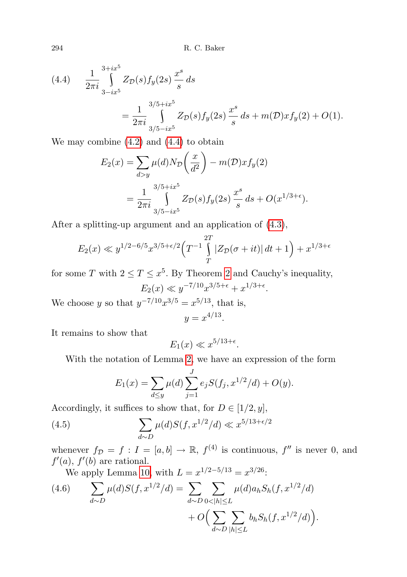<span id="page-27-0"></span>(4.4) 
$$
\frac{1}{2\pi i} \int_{3-ix^5}^{3+ix^5} Z_{\mathcal{D}}(s) f_y(2s) \frac{x^s}{s} ds
$$
  
= 
$$
\frac{1}{2\pi i} \int_{3/5-ix^5}^{3/5+ix^5} Z_{\mathcal{D}}(s) f_y(2s) \frac{x^s}{s} ds + m(\mathcal{D}) x f_y(2) + O(1).
$$

We may combine  $(4.2)$  and  $(4.4)$  to obtain

$$
E_2(x) = \sum_{d>y} \mu(d) N_{\mathcal{D}} \left( \frac{x}{d^2} \right) - m(\mathcal{D}) x f_y(2)
$$
  
= 
$$
\frac{1}{2\pi i} \int_{3/5 - ix^5}^{3/5 + ix^5} Z_{\mathcal{D}}(s) f_y(2s) \frac{x^s}{s} ds + O(x^{1/3 + \epsilon}).
$$

After a splitting-up argument and an application of [\(4.3\)](#page-26-1),

$$
E_2(x) \ll y^{1/2 - 6/5} x^{3/5 + \epsilon/2} \left( T^{-1} \int_T^{2T} |Z_D(\sigma + it)| dt + 1 \right) + x^{1/3 + \epsilon}
$$

for some T with  $2 \le T \le x^5$ . By Theorem [2](#page-2-1) and Cauchy's inequality,  $E_2(x) \ll y^{-7/10} x^{3/5 + \epsilon} + x^{1/3 + \epsilon}.$ 

We choose y so that  $y^{-7/10}x^{3/5} = x^{5/13}$ , that is,

$$
y = x^{4/13}
$$

.

It remains to show that

$$
E_1(x) \ll x^{5/13 + \epsilon}.
$$

With the notation of Lemma [2,](#page-5-1) we have an expression of the form

$$
E_1(x) = \sum_{d \le y} \mu(d) \sum_{j=1}^J e_j S(f_j, x^{1/2}/d) + O(y).
$$

Accordingly, it suffices to show that, for  $D \in [1/2, y]$ ,

(4.5) 
$$
\sum_{d \sim D} \mu(d) S(f, x^{1/2}/d) \ll x^{5/13 + \epsilon/2}
$$

whenever  $f_{\mathcal{D}} = f : I = [a, b] \to \mathbb{R}, f^{(4)}$  is continuous,  $f''$  is never 0, and  $f'(a)$ ,  $f'(b)$  are rational.

We apply Lemma [10,](#page-10-1) with  $L = x^{1/2 - 5/13} = x^{3/26}$ :

<span id="page-27-1"></span>(4.6) 
$$
\sum_{d \sim D} \mu(d) S(f, x^{1/2}/d) = \sum_{d \sim D} \sum_{0 < |h| \le L} \mu(d) a_h S_h(f, x^{1/2}/d) + O\Big(\sum_{d \sim D} \sum_{|h| \le L} b_h S_h(f, x^{1/2}/d)\Big).
$$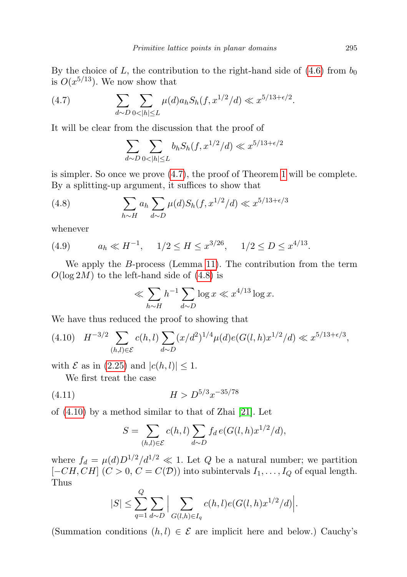By the choice of L, the contribution to the right-hand side of  $(4.6)$  from  $b_0$ is  $O(x^{5/13})$ . We now show that

(4.7) 
$$
\sum_{d \sim D} \sum_{0 < |h| \le L} \mu(d) a_h S_h(f, x^{1/2}/d) \ll x^{5/13 + \epsilon/2}.
$$

It will be clear from the discussion that the proof of

<span id="page-28-1"></span><span id="page-28-0"></span>
$$
\sum_{d \sim D} \sum_{0 < |h| \le L} b_h S_h(f, x^{1/2}/d) \ll x^{5/13 + \epsilon/2}
$$

is simpler. So once we prove [\(4.7\)](#page-28-0), the proof of Theorem [1](#page-1-0) will be complete. By a splitting-up argument, it suffices to show that

(4.8) 
$$
\sum_{h \sim H} a_h \sum_{d \sim D} \mu(d) S_h(f, x^{1/2}/d) \ll x^{5/13 + \epsilon/3}
$$

whenever

<span id="page-28-4"></span>(4.9) 
$$
a_h \ll H^{-1}
$$
,  $1/2 \le H \le x^{3/26}$ ,  $1/2 \le D \le x^{4/13}$ .

We apply the B-process (Lemma [11\)](#page-11-3). The contribution from the term  $O(\log 2M)$  to the left-hand side of  $(4.8)$  is

$$
\ll \sum_{h\sim H} h^{-1} \sum_{d\sim D} \log x \ll x^{4/13} \log x.
$$

We have thus reduced the proof to showing that

<span id="page-28-2"></span>
$$
(4.10) \quad H^{-3/2} \sum_{(h,l)\in\mathcal{E}} c(h,l) \sum_{d\sim D} (x/d^2)^{1/4} \mu(d) e(G(l,h)x^{1/2}/d) \ll x^{5/13+\epsilon/3},
$$

with  $\mathcal E$  as in [\(2.25\)](#page-15-2) and  $|c(h, l)| \leq 1$ .

We first treat the case

(4.11) H > D5/3x −35/78

of [\(4.10\)](#page-28-2) by a method similar to that of Zhai [\[21\]](#page-35-0). Let

<span id="page-28-3"></span>
$$
S = \sum_{(h,l) \in \mathcal{E}} c(h,l) \sum_{d \sim D} f_d e(G(l,h)x^{1/2}/d),
$$

where  $f_d = \mu(d)D^{1/2}/d^{1/2} \ll 1$ . Let Q be a natural number; we partition  $[-CH, CH]$   $(C > 0, C = C(\mathcal{D}))$  into subintervals  $I_1, \ldots, I_Q$  of equal length. Thus

$$
|S| \leq \sum_{q=1}^{Q} \sum_{d \sim D} \Big| \sum_{G(l,h) \in I_q} c(h,l) e(G(l,h)x^{1/2}/d) \Big|.
$$

(Summation conditions  $(h, l) \in \mathcal{E}$  are implicit here and below.) Cauchy's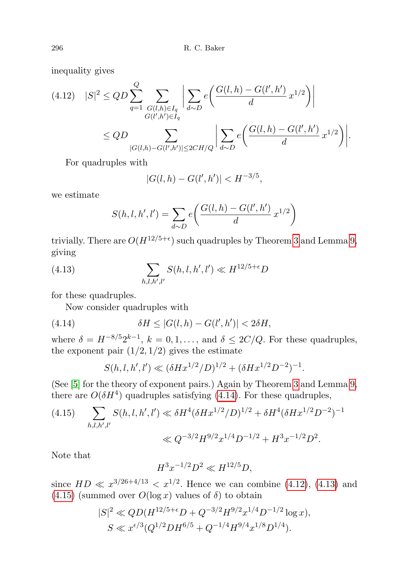inequality gives

<span id="page-29-1"></span>
$$
(4.12) \quad |S|^2 \le QD \sum_{q=1}^Q \sum_{\substack{G(l,h)\in I_q \\ G(l',h')\in I_q}} \left| \sum_{d\sim D} e\left(\frac{G(l,h) - G(l',h')}{d} x^{1/2}\right) \right|
$$
  

$$
\le QD \sum_{|G(l,h) - G(l',h')|\le 2CH/Q} \left| \sum_{d\sim D} e\left(\frac{G(l,h) - G(l',h')}{d} x^{1/2}\right) \right|.
$$

For quadruples with

$$
|G(l, h) - G(l', h')| < H^{-3/5},
$$

we estimate

<span id="page-29-2"></span>
$$
S(h, l, h', l') = \sum_{d \sim D} e\left(\frac{G(l, h) - G(l', h')}{d} x^{1/2}\right)
$$

trivially. There are  $O(H^{12/5+\epsilon})$  such quadruples by Theorem [3](#page-2-2) and Lemma [9,](#page-10-2) giving

(4.13) 
$$
\sum_{h,l,h',l'} S(h,l,h',l') \ll H^{12/5+\epsilon} D
$$

for these quadruples.

Now consider quadruples with

(4.14) 
$$
\delta H \le |G(l, h) - G(l', h')| < 2\delta H,
$$

where  $\delta = H^{-8/5} 2^{k-1}$ ,  $k = 0, 1, \ldots$ , and  $\delta \leq 2C/Q$ . For these quadruples, the exponent pair  $(1/2, 1/2)$  gives the estimate

<span id="page-29-0"></span>
$$
S(h, l, h', l') \ll (\delta H x^{1/2} / D)^{1/2} + (\delta H x^{1/2} D^{-2})^{-1}.
$$

(See [\[5\]](#page-34-8) for the theory of exponent pairs.) Again by Theorem [3](#page-2-2) and Lemma [9,](#page-10-2) there are  $O(\delta H^4)$  quadruples satisfying [\(4.14\)](#page-29-0). For these quadruples,

<span id="page-29-3"></span>(4.15) 
$$
\sum_{h,l,h',l'} S(h,l,h',l') \ll \delta H^4 (\delta H x^{1/2}/D)^{1/2} + \delta H^4 (\delta H x^{1/2} D^{-2})^{-1}
$$

$$
\ll Q^{-3/2} H^{9/2} x^{1/4} D^{-1/2} + H^3 x^{-1/2} D^2.
$$

Note that

$$
H^3 x^{-1/2} D^2 \ll H^{12/5} D,
$$

since  $HD \ll x^{3/26+4/13} \ll x^{1/2}$ . Hence we can combine [\(4.12\)](#page-29-1), [\(4.13\)](#page-29-2) and  $(4.15)$  (summed over  $O(\log x)$  values of  $\delta$ ) to obtain

$$
|S|^2 \ll QD(H^{12/5+\epsilon}D + Q^{-3/2}H^{9/2}x^{1/4}D^{-1/2}\log x),
$$
  

$$
S \ll x^{\epsilon/3}(Q^{1/2}DH^{6/5} + Q^{-1/4}H^{9/4}x^{1/8}D^{1/4}).
$$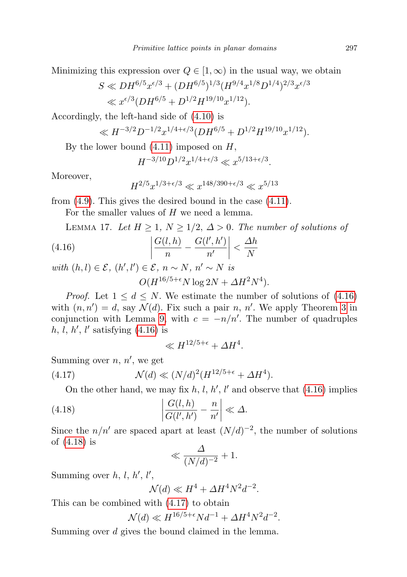Minimizing this expression over  $Q \in [1,\infty)$  in the usual way, we obtain

$$
S \ll DH^{6/5} x^{\epsilon/3} + (DH^{6/5})^{1/3} (H^{9/4} x^{1/8} D^{1/4})^{2/3} x^{\epsilon/3}
$$
  
\$\ll x^{\epsilon/3} (DH^{6/5} + D^{1/2} H^{19/10} x^{1/12}).

Accordingly, the left-hand side of [\(4.10\)](#page-28-2) is

$$
\ll H^{-3/2} D^{-1/2} x^{1/4 + \epsilon/3} (DH^{6/5} + D^{1/2} H^{19/10} x^{1/12}).
$$

By the lower bound  $(4.11)$  imposed on  $H$ ,

$$
H^{-3/10}D^{1/2}x^{1/4+\epsilon/3} \ll x^{5/13+\epsilon/3}.
$$

Moreover,

<span id="page-30-0"></span>
$$
H^{2/5}x^{1/3+\epsilon/3} \ll x^{148/390+\epsilon/3} \ll x^{5/13}
$$

from [\(4.9\)](#page-28-4). This gives the desired bound in the case [\(4.11\)](#page-28-3).

For the smaller values of H we need a lemma.

<span id="page-30-3"></span>LEMMA 17. Let  $H \geq 1$ ,  $N \geq 1/2$ ,  $\Delta > 0$ . The number of solutions of

(4.16) 
$$
\left|\frac{G(l,h)}{n} - \frac{G(l',h')}{n'}\right| < \frac{\Delta h}{N}
$$

with  $(h, l) \in \mathcal{E}$ ,  $(h', l') \in \mathcal{E}$ ,  $n \sim N$ ,  $n' \sim N$  is  $O(H^{16/5+\epsilon}N\log 2N + \Delta H^2N^4).$ 

*Proof.* Let  $1 \leq d \leq N$ . We estimate the number of solutions of [\(4.16\)](#page-30-0) with  $(n, n') = d$ , say  $\mathcal{N}(d)$ . Fix such a pair n, n'. We apply Theorem [3](#page-2-2) in conjunction with Lemma [9,](#page-10-2) with  $c = -n/n'$ . The number of quadruples  $h, l, h', l'$  satisfying  $(4.16)$  is

<span id="page-30-2"></span>
$$
\ll H^{12/5+\epsilon} + \Delta H^4.
$$

Summing over  $n, n'$ , we get

(4.17) 
$$
\mathcal{N}(d) \ll (N/d)^2 (H^{12/5+\epsilon} + \Delta H^4).
$$

On the other hand, we may fix  $h, l, h', l'$  and observe that  $(4.16)$  implies

(4.18) 
$$
\left|\frac{G(l,h)}{G(l',h')} - \frac{n}{n'}\right| \ll \Delta.
$$

Since the  $n/n'$  are spaced apart at least  $(N/d)^{-2}$ , the number of solutions of [\(4.18\)](#page-30-1) is

<span id="page-30-1"></span>
$$
\ll \frac{\Delta}{(N/d)^{-2}} + 1.
$$

Summing over  $h, l, h', l',$ 

$$
\mathcal{N}(d) \ll H^4 + \Delta H^4 N^2 d^{-2}.
$$

This can be combined with [\(4.17\)](#page-30-2) to obtain

$$
\mathcal{N}(d) \ll H^{16/5 + \epsilon} N d^{-1} + \Delta H^4 N^2 d^{-2}.
$$

Summing over d gives the bound claimed in the lemma.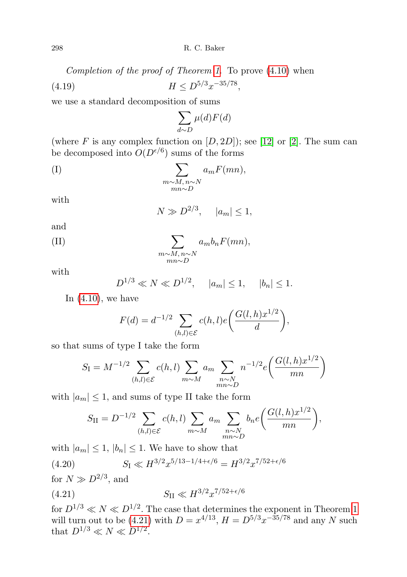Completion of the proof of Theorem [1](#page-1-0). To prove [\(4.10\)](#page-28-2) when

(4.19) H ≤ D5/3x −35/78 ,

we use a standard decomposition of sums

<span id="page-31-2"></span>
$$
\sum_{d \sim D} \mu(d) F(d)
$$

(where F is any complex function on  $[D, 2D]$ ); see [\[12\]](#page-34-6) or [\[2\]](#page-34-12). The sum can be decomposed into  $O(D^{\epsilon/6})$  sums of the forms

$$
(I) \qquad \qquad \sum_{\substack{m \sim M, n \sim N \\ mn \sim D}} a_m F(mn),
$$

with

$$
N \gg D^{2/3}, \quad |a_m| \le 1,
$$

and

(II) 
$$
\sum_{\substack{m \sim M, n \sim N \\ mn \sim D}} a_m b_n F(mn),
$$

with

$$
D^{1/3} \ll N \ll D^{1/2}
$$
,  $|a_m| \le 1$ ,  $|b_n| \le 1$ .

In  $(4.10)$ , we have

$$
F(d) = d^{-1/2} \sum_{(h,l)\in \mathcal{E}} c(h,l)e\left(\frac{G(l,h)x^{1/2}}{d}\right),
$$

so that sums of type I take the form

$$
S_{\rm I} = M^{-1/2} \sum_{(h,l) \in \mathcal{E}} c(h,l) \sum_{m \sim M} a_m \sum_{\substack{n \sim N \\ mn \sim D}} n^{-1/2} e\left(\frac{G(l,h)x^{1/2}}{mn}\right)
$$

with  $|a_m| \leq 1$ , and sums of type II take the form

<span id="page-31-1"></span><span id="page-31-0"></span>
$$
S_{\rm II} = D^{-1/2} \sum_{(h,l) \in \mathcal{E}} c(h,l) \sum_{m \sim M} a_m \sum_{\substack{n \sim N \\ mn \sim D}} b_n e\left(\frac{G(l,h)x^{1/2}}{mn}\right),
$$

with  $|a_m| \leq 1$ ,  $|b_n| \leq 1$ . We have to show that

(4.20) 
$$
S_{\rm I} \ll H^{3/2} x^{5/13 - 1/4 + \epsilon/6} = H^{3/2} x^{7/52 + \epsilon/6}
$$

for  $N \gg D^{2/3}$ , and

(4.21) 
$$
S_{\rm II} \ll H^{3/2} x^{7/52 + \epsilon/6}
$$

for  $D^{1/3} \ll N \ll D^{1/2}$ . The case that determines the exponent in Theorem [1](#page-1-0) will turn out to be [\(4.21\)](#page-31-0) with  $D = x^{4/13}$ ,  $H = D^{5/3}x^{-35/78}$  and any N such that  $D^{1/3} \ll N \ll D^{1/2}$ .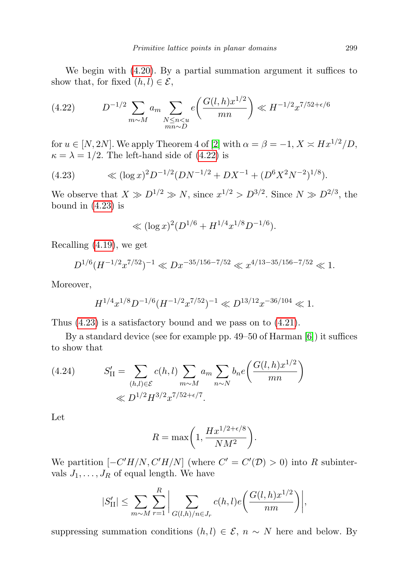We begin with [\(4.20\)](#page-31-1). By a partial summation argument it suffices to show that, for fixed  $(h, l) \in \mathcal{E}$ ,

<span id="page-32-0"></span>(4.22) 
$$
D^{-1/2} \sum_{m \sim M} a_m \sum_{\substack{N \le n < u \\ mn \sim D}} e\left(\frac{G(l, h)x^{1/2}}{mn}\right) \ll H^{-1/2} x^{7/52 + \epsilon/6}
$$

for  $u \in [N, 2N]$ . We apply Theorem 4 of [\[2\]](#page-34-12) with  $\alpha = \beta = -1, X \asymp Hx^{1/2}/D$ ,  $\kappa = \lambda = 1/2$ . The left-hand side of [\(4.22\)](#page-32-0) is

<span id="page-32-1"></span>(4.23) 
$$
\ll (\log x)^2 D^{-1/2} (DN^{-1/2} + DX^{-1} + (D^6 X^2 N^{-2})^{1/8}).
$$

We observe that  $X \gg D^{1/2} \gg N$ , since  $x^{1/2} > D^{3/2}$ . Since  $N \gg D^{2/3}$ , the bound in  $(4.23)$  is

$$
\ll (\log x)^2 (D^{1/6} + H^{1/4} x^{1/8} D^{-1/6}).
$$

Recalling [\(4.19\)](#page-31-2), we get

$$
D^{1/6}(H^{-1/2}x^{7/52})^{-1} \ll Dx^{-35/156-7/52} \ll x^{4/13-35/156-7/52} \ll 1.
$$

Moreover,

$$
H^{1/4}x^{1/8}D^{-1/6}(H^{-1/2}x^{7/52})^{-1} \ll D^{13/12}x^{-36/104} \ll 1.
$$

Thus [\(4.23\)](#page-32-1) is a satisfactory bound and we pass on to [\(4.21\)](#page-31-0).

By a standard device (see for example pp. 49–50 of Harman [\[6\]](#page-34-13)) it suffices to show that

(4.24) 
$$
S'_{II} = \sum_{(h,l) \in \mathcal{E}} c(h,l) \sum_{m \sim M} a_m \sum_{n \sim N} b_n e\left(\frac{G(l,h)x^{1/2}}{mn}\right)
$$

$$
\ll D^{1/2} H^{3/2} x^{7/52 + \epsilon/7}.
$$

R

Let

$$
R = \max\bigg(1, \frac{Hx^{1/2 + \epsilon/8}}{NM^2}\bigg).
$$

We partition  $[-C'H/N, C'H/N]$  (where  $C' = C'(\mathcal{D}) > 0$ ) into R subintervals  $J_1, \ldots, J_R$  of equal length. We have

$$
|S'_{\text{II}}| \leq \sum_{m \sim M} \sum_{r=1}^{R} \bigg| \sum_{G(l,h)/n \in J_r} c(h,l) e\bigg(\frac{G(l,h)x^{1/2}}{nm}\bigg) \bigg|,
$$

suppressing summation conditions  $(h, l) \in \mathcal{E}$ ,  $n \sim N$  here and below. By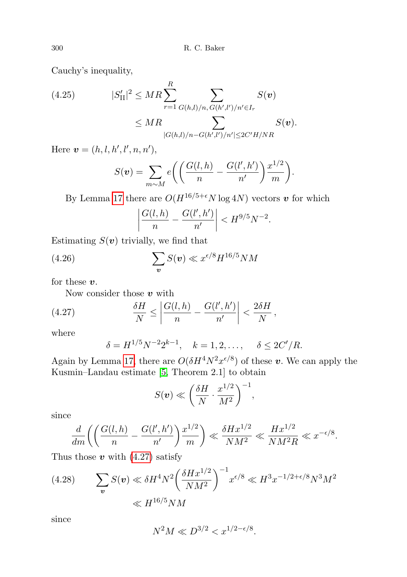Cauchy's inequality,

<span id="page-33-1"></span>(4.25) 
$$
|S'_{\text{II}}|^2 \leq MR \sum_{r=1}^R \sum_{G(h,l)/n, G(h',l')/n' \in I_r} S(v)
$$

$$
\leq MR \sum_{|G(h,l)/n - G(h',l')/n'| \leq 2C'H/NR} S(v).
$$

Here  $v = (h, l, h', l', n, n'),$ 

$$
S(\boldsymbol{v}) = \sum_{m \sim M} e\bigg( \bigg( \frac{G(l, h)}{n} - \frac{G(l', h')}{n'} \bigg) \frac{x^{1/2}}{m} \bigg).
$$

By Lemma [17](#page-30-3) there are  $O(H^{16/5+\epsilon}N \log 4N)$  vectors v for which

<span id="page-33-2"></span>
$$
\left| \frac{G(l, h)}{n} - \frac{G(l', h')}{n'} \right| < H^{9/5} N^{-2}.
$$

Estimating  $S(v)$  trivially, we find that

(4.26) 
$$
\sum_{\boldsymbol{v}} S(\boldsymbol{v}) \ll x^{\epsilon/8} H^{16/5} NM
$$

for these  $v$ .

Now consider those  $v$  with

(4.27) 
$$
\frac{\delta H}{N} \le \left| \frac{G(l, h)}{n} - \frac{G(l', h')}{n'} \right| < \frac{2\delta H}{N},
$$

where

<span id="page-33-0"></span>
$$
\delta = H^{1/5} N^{-2} 2^{k-1}, \quad k = 1, 2, ..., \quad \delta \leq 2C'/R.
$$

Again by Lemma [17,](#page-30-3) there are  $O(\delta H^4 N^2 x^{\epsilon/8})$  of these v. We can apply the Kusmin–Landau estimate [\[5,](#page-34-8) Theorem 2.1] to obtain

$$
S(\boldsymbol{v}) \ll \left(\frac{\delta H}{N} \cdot \frac{x^{1/2}}{M^2}\right)^{-1},\,
$$

since

$$
\frac{d}{dm}\left(\left(\frac{G(l,h)}{n}-\frac{G(l',h')}{n'}\right)\frac{x^{1/2}}{m}\right)\ll \frac{\delta Hx^{1/2}}{NM^2}\ll \frac{Hx^{1/2}}{NM^2R}\ll x^{-\epsilon/8}.
$$

Thus those  $v$  with [\(4.27\)](#page-33-0) satisfy

<span id="page-33-3"></span>(4.28) 
$$
\sum_{\mathbf{v}} S(\mathbf{v}) \ll \delta H^4 N^2 \bigg( \frac{\delta H x^{1/2}}{N M^2} \bigg)^{-1} x^{\epsilon/8} \ll H^3 x^{-1/2 + \epsilon/8} N^3 M^2
$$

$$
\ll H^{16/5} NM
$$

since

$$
N^2 M \ll D^{3/2} < x^{1/2 - \epsilon/8}.
$$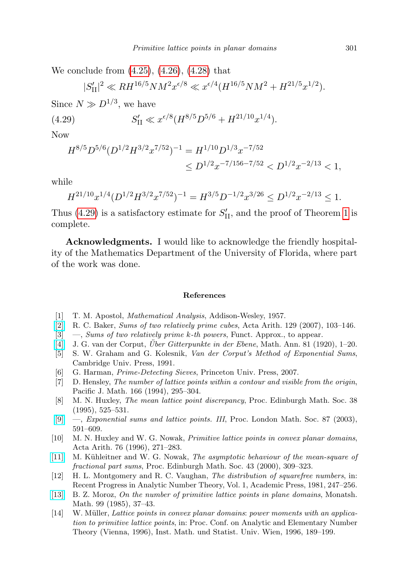We conclude from [\(4.25\)](#page-33-1), [\(4.26\)](#page-33-2), [\(4.28\)](#page-33-3) that

<span id="page-34-14"></span>
$$
|S'_{\text{II}}|^2 \ll RH^{16/5}NM^2x^{\epsilon/8} \ll x^{\epsilon/4}(H^{16/5}NM^2 + H^{21/5}x^{1/2}).
$$

Since  $N \gg D^{1/3}$ , we have

(4.29) 
$$
S'_{\text{II}} \ll x^{\epsilon/8} (H^{8/5} D^{5/6} + H^{21/10} x^{1/4}).
$$

Now

$$
H^{8/5}D^{5/6}(D^{1/2}H^{3/2}x^{7/52})^{-1} = H^{1/10}D^{1/3}x^{-7/52}
$$
  
\n
$$
\leq D^{1/2}x^{-7/156-7/52} < D^{1/2}x^{-2/13} < 1,
$$

while

$$
H^{21/10}x^{1/4}(D^{1/2}H^{3/2}x^{7/52})^{-1} = H^{3/5}D^{-1/2}x^{3/26} \le D^{1/2}x^{-2/13} \le 1.
$$

Thus [\(4.29\)](#page-34-14) is a satisfactory estimate for  $S'_{\text{II}}$ , and the proof of Theorem [1](#page-1-0) is complete.

Acknowledgments. I would like to acknowledge the friendly hospitality of the Mathematics Department of the University of Florida, where part of the work was done.

## References

- <span id="page-34-10"></span>[1] T. M. Apostol, Mathematical Analysis, Addison-Wesley, 1957.
- <span id="page-34-12"></span>[\[2\]](http://dx.doi.org/10.4064/aa129-2-1) R. C. Baker, Sums of two relatively prime cubes, Acta Arith. 129 (2007), 103–146.
- <span id="page-34-7"></span>[3]  $\ldots$ , *Sums of two relatively prime k-th powers*, Funct. Approx., to appear.
- <span id="page-34-11"></span> $[4]$  J. G. van der Corput, *Über Gitterpunkte in der Ebene*, Math. Ann. 81 (1920), 1–20.
- <span id="page-34-8"></span>[5] S. W. Graham and G. Kolesnik, Van der Corput's Method of Exponential Sums, Cambridge Univ. Press, 1991.
- <span id="page-34-13"></span>[6] G. Harman, *Prime-Detecting Sieves*, Princeton Univ. Press, 2007.
- <span id="page-34-1"></span>[7] D. Hensley, The number of lattice points within a contour and visible from the origin, Pacific J. Math. 166 (1994), 295–304.
- <span id="page-34-4"></span>[8] M. N. Huxley, The mean lattice point discrepancy, Proc. Edinburgh Math. Soc. 38 (1995), 525–531.
- <span id="page-34-5"></span>[\[9\]](http://dx.doi.org/10.1112/S0024611503014485) —, Exponential sums and lattice points. III, Proc. London Math. Soc. 87 (2003), 591–609.
- <span id="page-34-2"></span>[10] M. N. Huxley and W. G. Nowak, Primitive lattice points in convex planar domains, Acta Arith. 76 (1996), 271–283.
- <span id="page-34-9"></span>[\[11\]](http://dx.doi.org/10.1017/S0013091500020940) M. Kühleitner and W. G. Nowak, The asymptotic behaviour of the mean-square of fractional part sums, Proc. Edinburgh Math. Soc. 43 (2000), 309–323.
- <span id="page-34-6"></span>[12] H. L. Montgomery and R. C. Vaughan, The distribution of squarefree numbers, in: Recent Progress in Analytic Number Theory, Vol. 1, Academic Press, 1981, 247–256.
- <span id="page-34-0"></span>[\[13\]](http://dx.doi.org/10.1007/BF01300737) B. Z. Moroz, On the number of primitive lattice points in plane domains, Monatsh. Math. 99 (1985), 37–43.
- <span id="page-34-3"></span>[14] W. Müller, Lattice points in convex planar domains: power moments with an application to primitive lattice points, in: Proc. Conf. on Analytic and Elementary Number Theory (Vienna, 1996), Inst. Math. und Statist. Univ. Wien, 1996, 189–199.